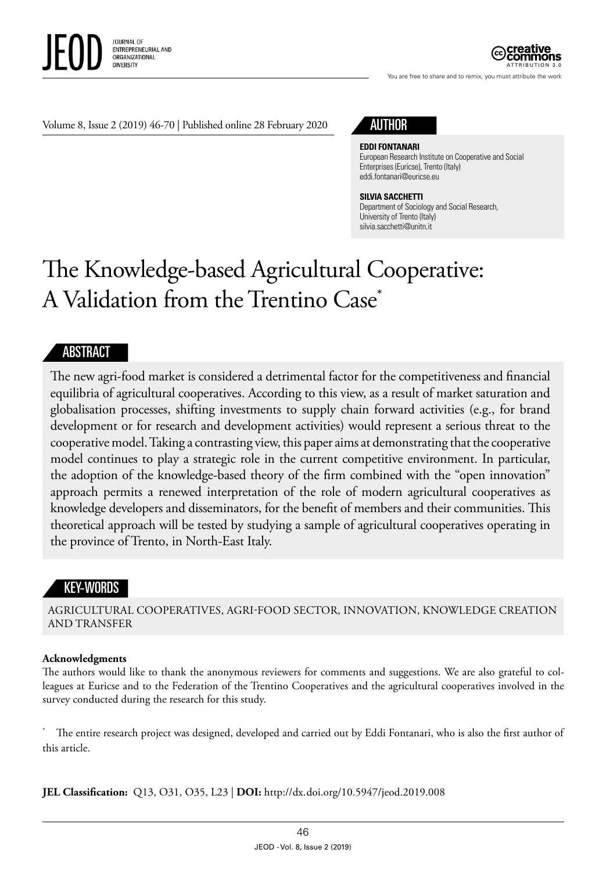

ATTRIBUTION 3.0

You are free to share and to remix, you must attribute the work

#### Volume 8, Issue 2 (2019) 46-70 | Published online 28 February 2020

## AUTHOR

#### **EDDI FONTANARI**

European Research Institute on Cooperative and Social Enterprises (Euricse), Trento (Italy) eddi.fontanari@euricse.eu

#### **SILVIA SACCHETTI**

Department of Sociology and Social Research, University of Trento (Italy) silvia.sacchetti@unitn.it

# The Knowledge-based Agricultural Cooperative: A Validation from the Trentino Case\*

#### ABSTRACT

The new agri-food market is considered a detrimental factor for the competitiveness and financial equilibria of agricultural cooperatives. According to this view, as a result of market saturation and globalisation processes, shifting investments to supply chain forward activities (e.g., for brand development or for research and development activities) would represent a serious threat to the cooperative model. Taking a contrasting view, this paper aims at demonstrating that the cooperative model continues to play a strategic role in the current competitive environment. In particular, the adoption of the knowledge-based theory of the firm combined with the "open innovation" approach permits a renewed interpretation of the role of modern agricultural cooperatives as knowledge developers and disseminators, for the benefit of members and their communities. This theoretical approach will be tested by studying a sample of agricultural cooperatives operating in the province of Trento, in North-East Italy.

### KEY-WORDS

AGRICULTURAL COOPERATIVES, AGRI-FOOD SECTOR, INNOVATION, KNOWLEDGE CREATION AND TRANSFER

#### **Acknowledgments**

The authors would like to thank the anonymous reviewers for comments and suggestions. We are also grateful to colleagues at Euricse and to the Federation of the Trentino Cooperatives and the agricultural cooperatives involved in the survey conducted during the research for this study.

The entire research project was designed, developed and carried out by Eddi Fontanari, who is also the first author of this article.

**JEL Classification:** Q13, O31, O35, L23 | **DOI:** http:/ / dx. doi.org/10.5947/jeod.2019.008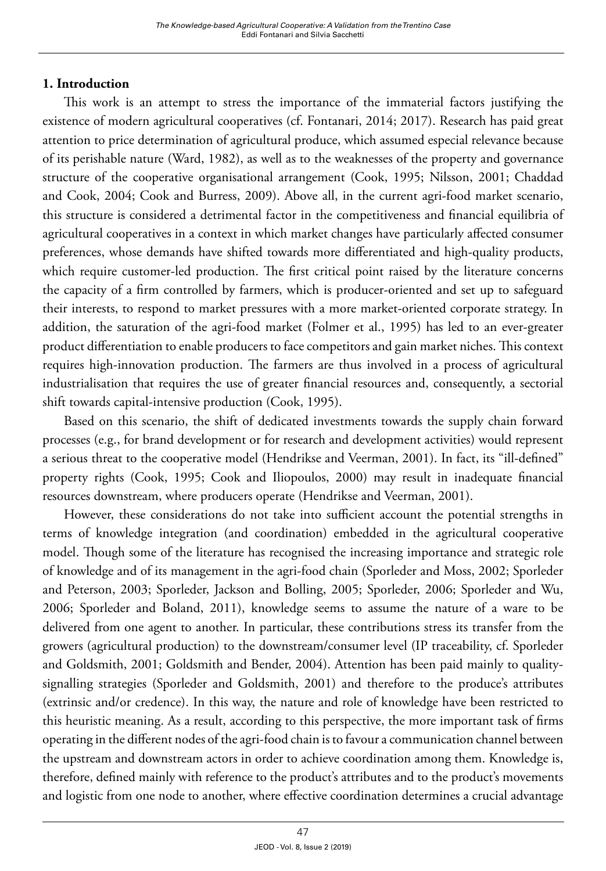## **1. Introduction**

This work is an attempt to stress the importance of the immaterial factors justifying the existence of modern agricultural cooperatives (cf. Fontanari, 2014; 2017). Research has paid great attention to price determination of agricultural produce, which assumed especial relevance because of its perishable nature (Ward, 1982), as well as to the weaknesses of the property and governance structure of the cooperative organisational arrangement (Cook, 1995; Nilsson, 2001; Chaddad and Cook, 2004; Cook and Burress, 2009). Above all, in the current agri-food market scenario, this structure is considered a detrimental factor in the competitiveness and financial equilibria of agricultural cooperatives in a context in which market changes have particularly affected consumer preferences, whose demands have shifted towards more differentiated and high-quality products, which require customer-led production. The first critical point raised by the literature concerns the capacity of a firm controlled by farmers, which is producer-oriented and set up to safeguard their interests, to respond to market pressures with a more market-oriented corporate strategy. In addition, the saturation of the agri-food market (Folmer et al., 1995) has led to an ever-greater product differentiation to enable producers to face competitors and gain market niches. This context requires high-innovation production. The farmers are thus involved in a process of agricultural industrialisation that requires the use of greater financial resources and, consequently, a sectorial shift towards capital-intensive production (Cook, 1995).

Based on this scenario, the shift of dedicated investments towards the supply chain forward processes (e.g., for brand development or for research and development activities) would represent a serious threat to the cooperative model (Hendrikse and Veerman, 2001). In fact, its "ill-defined" property rights (Cook, 1995; Cook and Iliopoulos, 2000) may result in inadequate financial resources downstream, where producers operate (Hendrikse and Veerman, 2001).

However, these considerations do not take into sufficient account the potential strengths in terms of knowledge integration (and coordination) embedded in the agricultural cooperative model. Though some of the literature has recognised the increasing importance and strategic role of knowledge and of its management in the agri-food chain (Sporleder and Moss, 2002; Sporleder and Peterson, 2003; Sporleder, Jackson and Bolling, 2005; Sporleder, 2006; Sporleder and Wu, 2006; Sporleder and Boland, 2011), knowledge seems to assume the nature of a ware to be delivered from one agent to another. In particular, these contributions stress its transfer from the growers (agricultural production) to the downstream/consumer level (IP traceability, cf. Sporleder and Goldsmith, 2001; Goldsmith and Bender, 2004). Attention has been paid mainly to qualitysignalling strategies (Sporleder and Goldsmith, 2001) and therefore to the produce's attributes (extrinsic and/or credence). In this way, the nature and role of knowledge have been restricted to this heuristic meaning. As a result, according to this perspective, the more important task of firms operating in the different nodes of the agri-food chain is to favour a communication channel between the upstream and downstream actors in order to achieve coordination among them. Knowledge is, therefore, defined mainly with reference to the product's attributes and to the product's movements and logistic from one node to another, where effective coordination determines a crucial advantage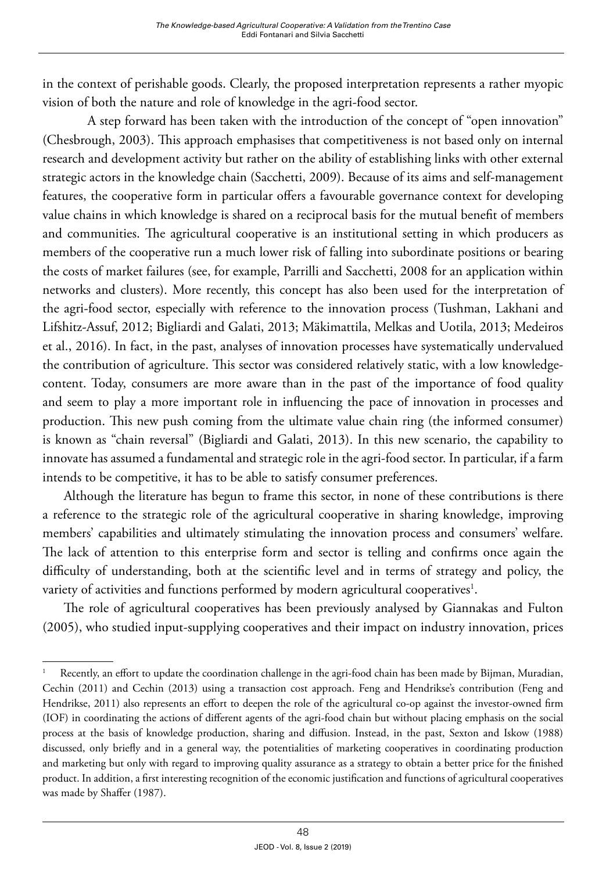in the context of perishable goods. Clearly, the proposed interpretation represents a rather myopic vision of both the nature and role of knowledge in the agri-food sector.

A step forward has been taken with the introduction of the concept of "open innovation" (Chesbrough, 2003). This approach emphasises that competitiveness is not based only on internal research and development activity but rather on the ability of establishing links with other external strategic actors in the knowledge chain (Sacchetti, 2009). Because of its aims and self-management features, the cooperative form in particular offers a favourable governance context for developing value chains in which knowledge is shared on a reciprocal basis for the mutual benefit of members and communities. The agricultural cooperative is an institutional setting in which producers as members of the cooperative run a much lower risk of falling into subordinate positions or bearing the costs of market failures (see, for example, Parrilli and Sacchetti, 2008 for an application within networks and clusters). More recently, this concept has also been used for the interpretation of the agri-food sector, especially with reference to the innovation process (Tushman, Lakhani and Lifshitz-Assuf, 2012; Bigliardi and Galati, 2013; Mäkimattila, Melkas and Uotila, 2013; Medeiros et al., 2016). In fact, in the past, analyses of innovation processes have systematically undervalued the contribution of agriculture. This sector was considered relatively static, with a low knowledgecontent. Today, consumers are more aware than in the past of the importance of food quality and seem to play a more important role in influencing the pace of innovation in processes and production. This new push coming from the ultimate value chain ring (the informed consumer) is known as "chain reversal" (Bigliardi and Galati, 2013). In this new scenario, the capability to innovate has assumed a fundamental and strategic role in the agri-food sector. In particular, if a farm intends to be competitive, it has to be able to satisfy consumer preferences.

Although the literature has begun to frame this sector, in none of these contributions is there a reference to the strategic role of the agricultural cooperative in sharing knowledge, improving members' capabilities and ultimately stimulating the innovation process and consumers' welfare. The lack of attention to this enterprise form and sector is telling and confirms once again the difficulty of understanding, both at the scientific level and in terms of strategy and policy, the variety of activities and functions performed by modern agricultural cooperatives $^{\rm l}$ .

The role of agricultural cooperatives has been previously analysed by Giannakas and Fulton (2005), who studied input-supplying cooperatives and their impact on industry innovation, prices

Recently, an effort to update the coordination challenge in the agri-food chain has been made by Bijman, Muradian, Cechin (2011) and Cechin (2013) using a transaction cost approach. Feng and Hendrikse's contribution (Feng and Hendrikse, 2011) also represents an effort to deepen the role of the agricultural co-op against the investor-owned firm (IOF) in coordinating the actions of different agents of the agri-food chain but without placing emphasis on the social process at the basis of knowledge production, sharing and diffusion. Instead, in the past, Sexton and Iskow (1988) discussed, only briefly and in a general way, the potentialities of marketing cooperatives in coordinating production and marketing but only with regard to improving quality assurance as a strategy to obtain a better price for the finished product. In addition, a first interesting recognition of the economic justification and functions of agricultural cooperatives was made by Shaffer (1987).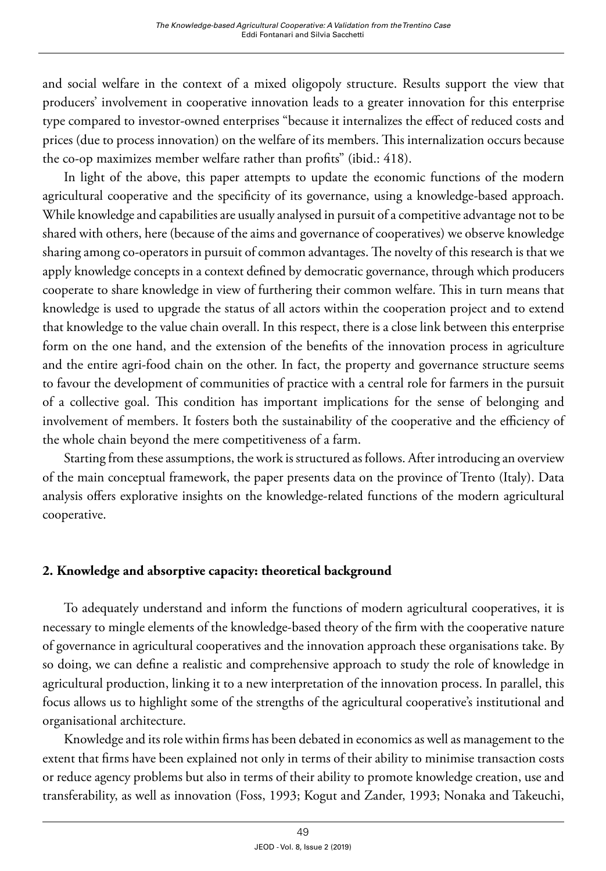and social welfare in the context of a mixed oligopoly structure. Results support the view that producers' involvement in cooperative innovation leads to a greater innovation for this enterprise type compared to investor-owned enterprises "because it internalizes the effect of reduced costs and prices (due to process innovation) on the welfare of its members. This internalization occurs because the co-op maximizes member welfare rather than profits" (ibid.: 418).

In light of the above, this paper attempts to update the economic functions of the modern agricultural cooperative and the specificity of its governance, using a knowledge-based approach. While knowledge and capabilities are usually analysed in pursuit of a competitive advantage not to be shared with others, here (because of the aims and governance of cooperatives) we observe knowledge sharing among co-operators in pursuit of common advantages. The novelty of this research is that we apply knowledge concepts in a context defined by democratic governance, through which producers cooperate to share knowledge in view of furthering their common welfare. This in turn means that knowledge is used to upgrade the status of all actors within the cooperation project and to extend that knowledge to the value chain overall. In this respect, there is a close link between this enterprise form on the one hand, and the extension of the benefits of the innovation process in agriculture and the entire agri-food chain on the other. In fact, the property and governance structure seems to favour the development of communities of practice with a central role for farmers in the pursuit of a collective goal. This condition has important implications for the sense of belonging and involvement of members. It fosters both the sustainability of the cooperative and the efficiency of the whole chain beyond the mere competitiveness of a farm.

Starting from these assumptions, the work is structured as follows. After introducing an overview of the main conceptual framework, the paper presents data on the province of Trento (Italy). Data analysis offers explorative insights on the knowledge-related functions of the modern agricultural cooperative.

## **2. Knowledge and absorptive capacity: theoretical background**

To adequately understand and inform the functions of modern agricultural cooperatives, it is necessary to mingle elements of the knowledge-based theory of the firm with the cooperative nature of governance in agricultural cooperatives and the innovation approach these organisations take. By so doing, we can define a realistic and comprehensive approach to study the role of knowledge in agricultural production, linking it to a new interpretation of the innovation process. In parallel, this focus allows us to highlight some of the strengths of the agricultural cooperative's institutional and organisational architecture.

Knowledge and its role within firms has been debated in economics as well as management to the extent that firms have been explained not only in terms of their ability to minimise transaction costs or reduce agency problems but also in terms of their ability to promote knowledge creation, use and transferability, as well as innovation (Foss, 1993; Kogut and Zander, 1993; Nonaka and Takeuchi,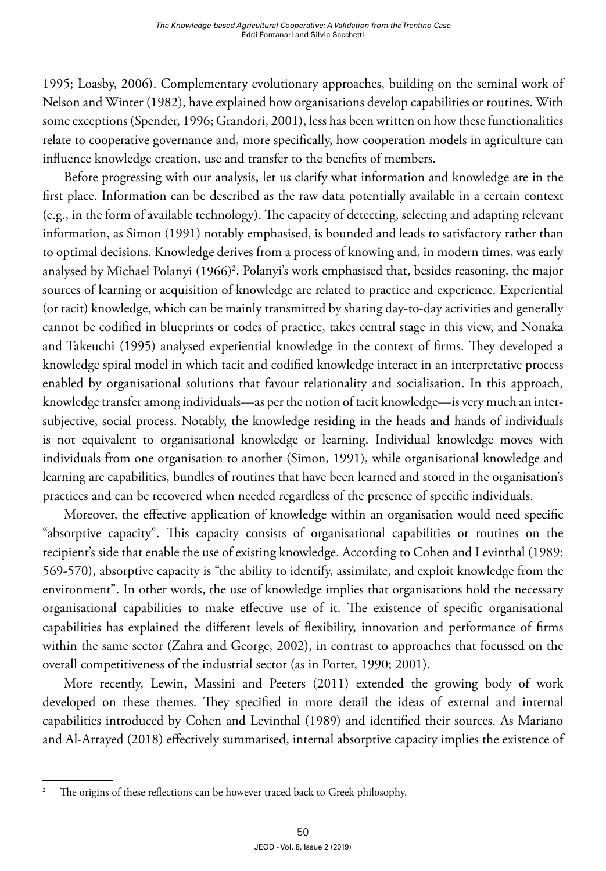1995; Loasby, 2006). Complementary evolutionary approaches, building on the seminal work of Nelson and Winter (1982), have explained how organisations develop capabilities or routines. With some exceptions (Spender, 1996; Grandori, 2001), less has been written on how these functionalities relate to cooperative governance and, more specifically, how cooperation models in agriculture can influence knowledge creation, use and transfer to the benefits of members.

Before progressing with our analysis, let us clarify what information and knowledge are in the first place. Information can be described as the raw data potentially available in a certain context (e.g., in the form of available technology). The capacity of detecting, selecting and adapting relevant information, as Simon (1991) notably emphasised, is bounded and leads to satisfactory rather than to optimal decisions. Knowledge derives from a process of knowing and, in modern times, was early analysed by Michael Polanyi (1966)<sup>2</sup>. Polanyi's work emphasised that, besides reasoning, the major sources of learning or acquisition of knowledge are related to practice and experience. Experiential (or tacit) knowledge, which can be mainly transmitted by sharing day-to-day activities and generally cannot be codified in blueprints or codes of practice, takes central stage in this view, and Nonaka and Takeuchi (1995) analysed experiential knowledge in the context of firms. They developed a knowledge spiral model in which tacit and codified knowledge interact in an interpretative process enabled by organisational solutions that favour relationality and socialisation. In this approach, knowledge transfer among individuals—as per the notion of tacit knowledge—is very much an intersubjective, social process. Notably, the knowledge residing in the heads and hands of individuals is not equivalent to organisational knowledge or learning. Individual knowledge moves with individuals from one organisation to another (Simon, 1991), while organisational knowledge and learning are capabilities, bundles of routines that have been learned and stored in the organisation's practices and can be recovered when needed regardless of the presence of specific individuals.

Moreover, the effective application of knowledge within an organisation would need specific "absorptive capacity". This capacity consists of organisational capabilities or routines on the recipient's side that enable the use of existing knowledge. According to Cohen and Levinthal (1989: 569-570), absorptive capacity is "the ability to identify, assimilate, and exploit knowledge from the environment". In other words, the use of knowledge implies that organisations hold the necessary organisational capabilities to make effective use of it. The existence of specific organisational capabilities has explained the different levels of flexibility, innovation and performance of firms within the same sector (Zahra and George, 2002), in contrast to approaches that focussed on the overall competitiveness of the industrial sector (as in Porter, 1990; 2001).

More recently, Lewin, Massini and Peeters (2011) extended the growing body of work developed on these themes. They specified in more detail the ideas of external and internal capabilities introduced by Cohen and Levinthal (1989) and identified their sources. As Mariano and Al-Arrayed (2018) effectively summarised, internal absorptive capacity implies the existence of

<sup>&</sup>lt;sup>2</sup> The origins of these reflections can be however traced back to Greek philosophy.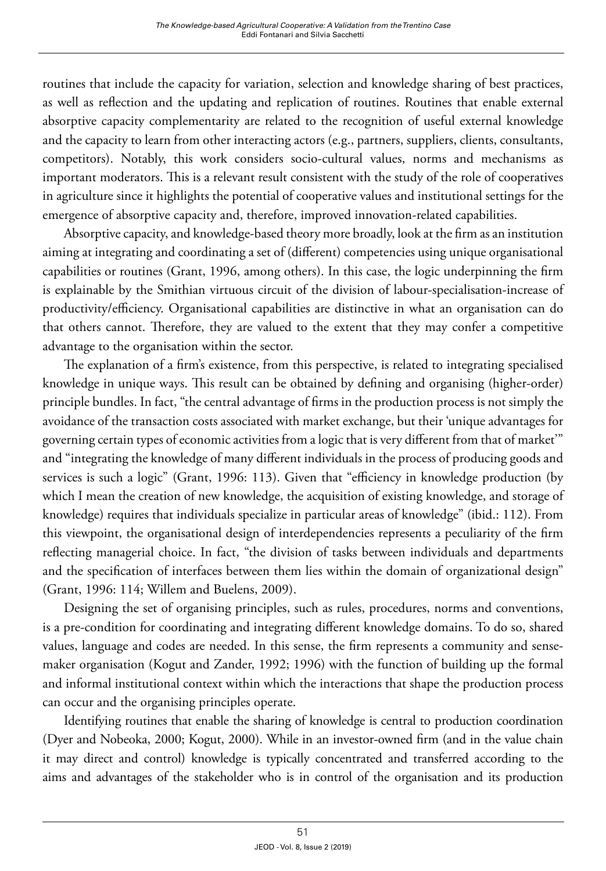routines that include the capacity for variation, selection and knowledge sharing of best practices, as well as reflection and the updating and replication of routines. Routines that enable external absorptive capacity complementarity are related to the recognition of useful external knowledge and the capacity to learn from other interacting actors (e.g., partners, suppliers, clients, consultants, competitors). Notably, this work considers socio-cultural values, norms and mechanisms as important moderators. This is a relevant result consistent with the study of the role of cooperatives in agriculture since it highlights the potential of cooperative values and institutional settings for the emergence of absorptive capacity and, therefore, improved innovation-related capabilities.

Absorptive capacity, and knowledge-based theory more broadly, look at the firm as an institution aiming at integrating and coordinating a set of (different) competencies using unique organisational capabilities or routines (Grant, 1996, among others). In this case, the logic underpinning the firm is explainable by the Smithian virtuous circuit of the division of labour-specialisation-increase of productivity/efficiency. Organisational capabilities are distinctive in what an organisation can do that others cannot. Therefore, they are valued to the extent that they may confer a competitive advantage to the organisation within the sector.

The explanation of a firm's existence, from this perspective, is related to integrating specialised knowledge in unique ways. This result can be obtained by defining and organising (higher-order) principle bundles. In fact, "the central advantage of firms in the production process is not simply the avoidance of the transaction costs associated with market exchange, but their 'unique advantages for governing certain types of economic activities from a logic that is very different from that of market'" and "integrating the knowledge of many different individuals in the process of producing goods and services is such a logic" (Grant, 1996: 113). Given that "efficiency in knowledge production (by which I mean the creation of new knowledge, the acquisition of existing knowledge, and storage of knowledge) requires that individuals specialize in particular areas of knowledge" (ibid.: 112). From this viewpoint, the organisational design of interdependencies represents a peculiarity of the firm reflecting managerial choice. In fact, "the division of tasks between individuals and departments and the specification of interfaces between them lies within the domain of organizational design" (Grant, 1996: 114; Willem and Buelens, 2009).

Designing the set of organising principles, such as rules, procedures, norms and conventions, is a pre-condition for coordinating and integrating different knowledge domains. To do so, shared values, language and codes are needed. In this sense, the firm represents a community and sensemaker organisation (Kogut and Zander, 1992; 1996) with the function of building up the formal and informal institutional context within which the interactions that shape the production process can occur and the organising principles operate.

Identifying routines that enable the sharing of knowledge is central to production coordination (Dyer and Nobeoka, 2000; Kogut, 2000). While in an investor-owned firm (and in the value chain it may direct and control) knowledge is typically concentrated and transferred according to the aims and advantages of the stakeholder who is in control of the organisation and its production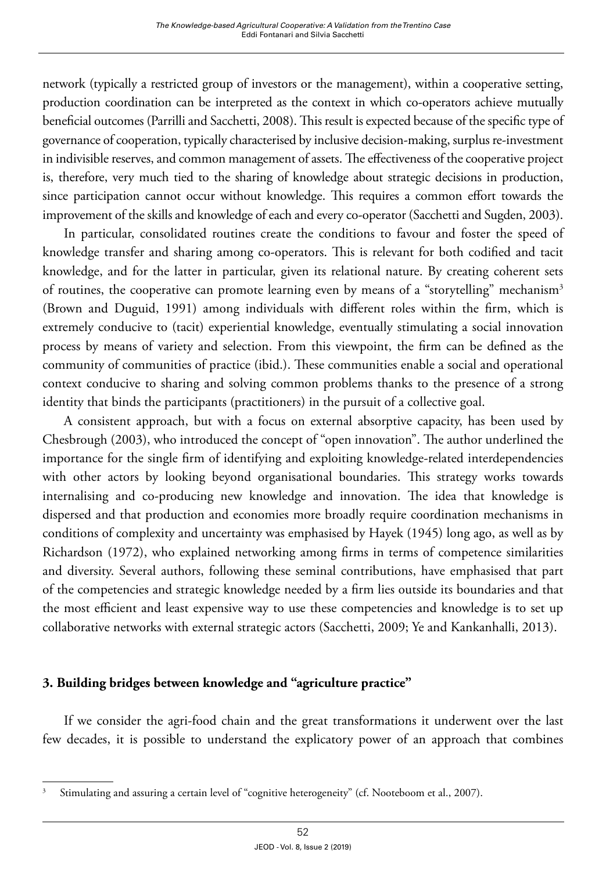network (typically a restricted group of investors or the management), within a cooperative setting, production coordination can be interpreted as the context in which co-operators achieve mutually beneficial outcomes (Parrilli and Sacchetti, 2008). This result is expected because of the specific type of governance of cooperation, typically characterised by inclusive decision-making, surplus re-investment in indivisible reserves, and common management of assets. The effectiveness of the cooperative project is, therefore, very much tied to the sharing of knowledge about strategic decisions in production, since participation cannot occur without knowledge. This requires a common effort towards the improvement of the skills and knowledge of each and every co-operator (Sacchetti and Sugden, 2003).

In particular, consolidated routines create the conditions to favour and foster the speed of knowledge transfer and sharing among co-operators. This is relevant for both codified and tacit knowledge, and for the latter in particular, given its relational nature. By creating coherent sets of routines, the cooperative can promote learning even by means of a "storytelling" mechanism<sup>3</sup> (Brown and Duguid, 1991) among individuals with different roles within the firm, which is extremely conducive to (tacit) experiential knowledge, eventually stimulating a social innovation process by means of variety and selection. From this viewpoint, the firm can be defined as the community of communities of practice (ibid.). These communities enable a social and operational context conducive to sharing and solving common problems thanks to the presence of a strong identity that binds the participants (practitioners) in the pursuit of a collective goal.

A consistent approach, but with a focus on external absorptive capacity, has been used by Chesbrough (2003), who introduced the concept of "open innovation". The author underlined the importance for the single firm of identifying and exploiting knowledge-related interdependencies with other actors by looking beyond organisational boundaries. This strategy works towards internalising and co-producing new knowledge and innovation. The idea that knowledge is dispersed and that production and economies more broadly require coordination mechanisms in conditions of complexity and uncertainty was emphasised by Hayek (1945) long ago, as well as by Richardson (1972), who explained networking among firms in terms of competence similarities and diversity. Several authors, following these seminal contributions, have emphasised that part of the competencies and strategic knowledge needed by a firm lies outside its boundaries and that the most efficient and least expensive way to use these competencies and knowledge is to set up collaborative networks with external strategic actors (Sacchetti, 2009; Ye and Kankanhalli, 2013).

## **3. Building bridges between knowledge and "agriculture practice"**

If we consider the agri-food chain and the great transformations it underwent over the last few decades, it is possible to understand the explicatory power of an approach that combines

<sup>3</sup> Stimulating and assuring a certain level of "cognitive heterogeneity" (cf. Nooteboom et al., 2007).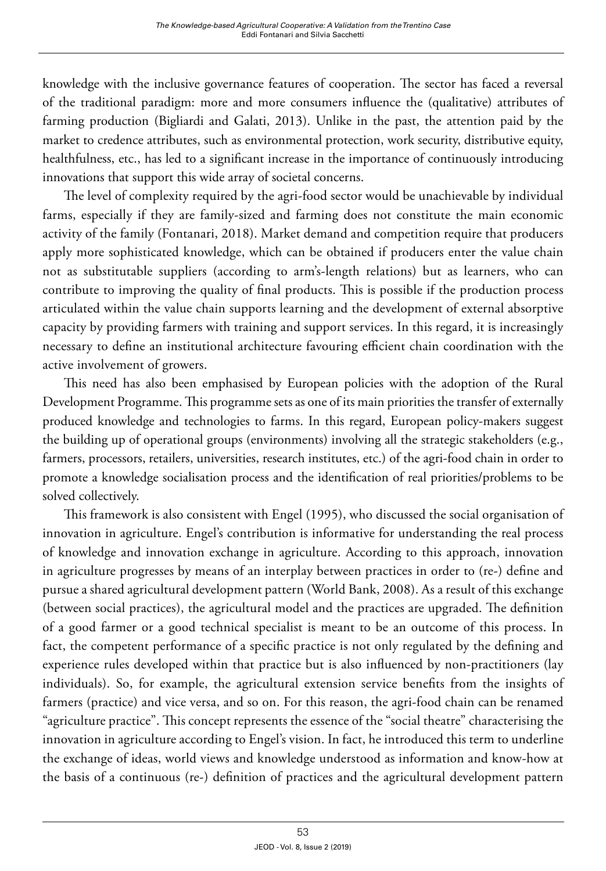knowledge with the inclusive governance features of cooperation. The sector has faced a reversal of the traditional paradigm: more and more consumers influence the (qualitative) attributes of farming production (Bigliardi and Galati, 2013). Unlike in the past, the attention paid by the market to credence attributes, such as environmental protection, work security, distributive equity, healthfulness, etc., has led to a significant increase in the importance of continuously introducing innovations that support this wide array of societal concerns.

The level of complexity required by the agri-food sector would be unachievable by individual farms, especially if they are family-sized and farming does not constitute the main economic activity of the family (Fontanari, 2018). Market demand and competition require that producers apply more sophisticated knowledge, which can be obtained if producers enter the value chain not as substitutable suppliers (according to arm's-length relations) but as learners, who can contribute to improving the quality of final products. This is possible if the production process articulated within the value chain supports learning and the development of external absorptive capacity by providing farmers with training and support services. In this regard, it is increasingly necessary to define an institutional architecture favouring efficient chain coordination with the active involvement of growers.

This need has also been emphasised by European policies with the adoption of the Rural Development Programme. This programme sets as one of its main priorities the transfer of externally produced knowledge and technologies to farms. In this regard, European policy-makers suggest the building up of operational groups (environments) involving all the strategic stakeholders (e.g., farmers, processors, retailers, universities, research institutes, etc.) of the agri-food chain in order to promote a knowledge socialisation process and the identification of real priorities/problems to be solved collectively.

This framework is also consistent with Engel (1995), who discussed the social organisation of innovation in agriculture. Engel's contribution is informative for understanding the real process of knowledge and innovation exchange in agriculture. According to this approach, innovation in agriculture progresses by means of an interplay between practices in order to (re-) define and pursue a shared agricultural development pattern (World Bank, 2008). As a result of this exchange (between social practices), the agricultural model and the practices are upgraded. The definition of a good farmer or a good technical specialist is meant to be an outcome of this process. In fact, the competent performance of a specific practice is not only regulated by the defining and experience rules developed within that practice but is also influenced by non-practitioners (lay individuals). So, for example, the agricultural extension service benefits from the insights of farmers (practice) and vice versa, and so on. For this reason, the agri-food chain can be renamed "agriculture practice". This concept represents the essence of the "social theatre" characterising the innovation in agriculture according to Engel's vision. In fact, he introduced this term to underline the exchange of ideas, world views and knowledge understood as information and know-how at the basis of a continuous (re-) definition of practices and the agricultural development pattern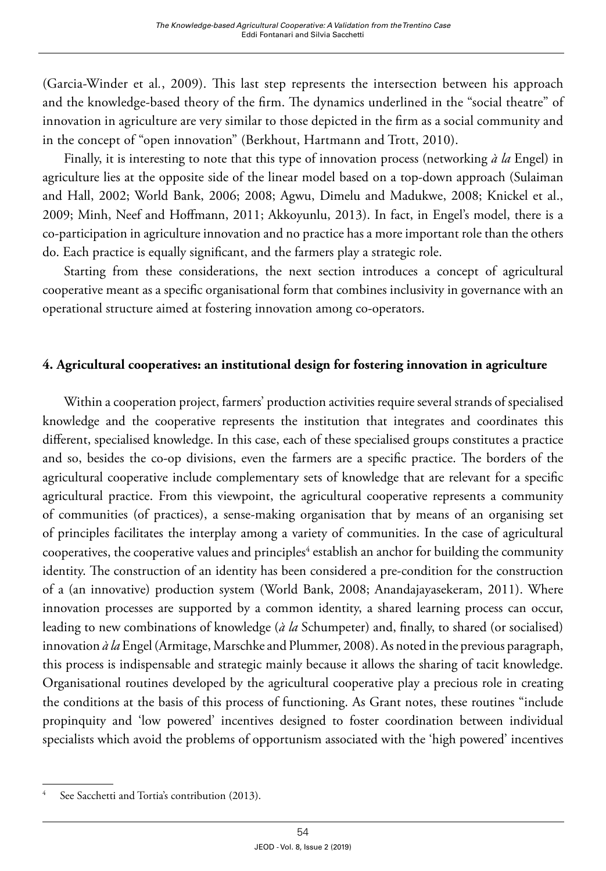(Garcia-Winder et al*.*, 2009). This last step represents the intersection between his approach and the knowledge-based theory of the firm. The dynamics underlined in the "social theatre" of innovation in agriculture are very similar to those depicted in the firm as a social community and in the concept of "open innovation" (Berkhout, Hartmann and Trott, 2010).

Finally, it is interesting to note that this type of innovation process (networking *à la* Engel) in agriculture lies at the opposite side of the linear model based on a top-down approach (Sulaiman and Hall, 2002; World Bank, 2006; 2008; Agwu, Dimelu and Madukwe, 2008; Knickel et al., 2009; Minh, Neef and Hoffmann, 2011; Akkoyunlu, 2013). In fact, in Engel's model, there is a co-participation in agriculture innovation and no practice has a more important role than the others do. Each practice is equally significant, and the farmers play a strategic role.

Starting from these considerations, the next section introduces a concept of agricultural cooperative meant as a specific organisational form that combines inclusivity in governance with an operational structure aimed at fostering innovation among co-operators.

## **4. Agricultural cooperatives: an institutional design for fostering innovation in agriculture**

Within a cooperation project, farmers' production activities require several strands of specialised knowledge and the cooperative represents the institution that integrates and coordinates this different, specialised knowledge. In this case, each of these specialised groups constitutes a practice and so, besides the co-op divisions, even the farmers are a specific practice. The borders of the agricultural cooperative include complementary sets of knowledge that are relevant for a specific agricultural practice. From this viewpoint, the agricultural cooperative represents a community of communities (of practices), a sense-making organisation that by means of an organising set of principles facilitates the interplay among a variety of communities. In the case of agricultural cooperatives, the cooperative values and principles $^4$  establish an anchor for building the community identity. The construction of an identity has been considered a pre-condition for the construction of a (an innovative) production system (World Bank, 2008; Anandajayasekeram, 2011). Where innovation processes are supported by a common identity, a shared learning process can occur, leading to new combinations of knowledge (*à la* Schumpeter) and, finally, to shared (or socialised) innovation *à la* Engel (Armitage, Marschke and Plummer, 2008). As noted in the previous paragraph, this process is indispensable and strategic mainly because it allows the sharing of tacit knowledge. Organisational routines developed by the agricultural cooperative play a precious role in creating the conditions at the basis of this process of functioning. As Grant notes, these routines "include propinquity and 'low powered' incentives designed to foster coordination between individual specialists which avoid the problems of opportunism associated with the 'high powered' incentives

See Sacchetti and Tortia's contribution (2013).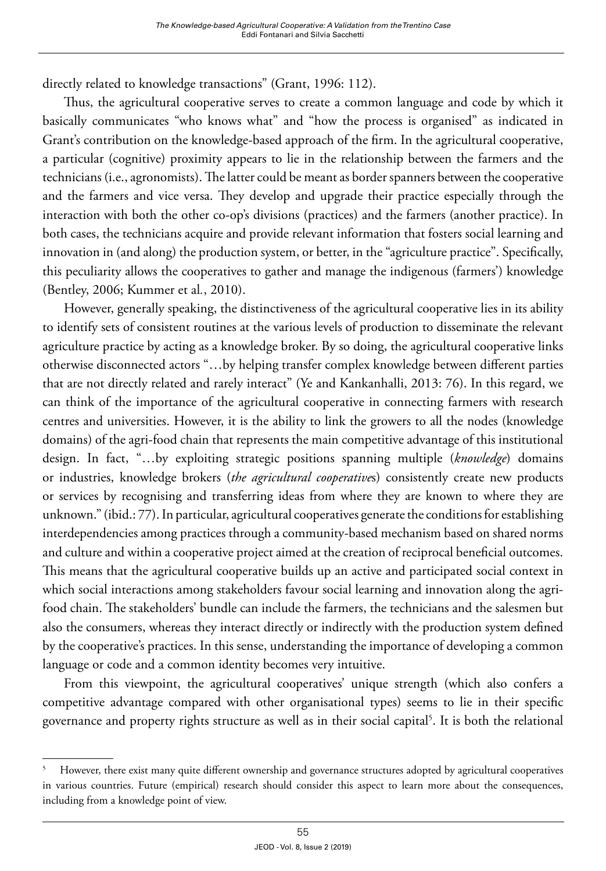directly related to knowledge transactions" (Grant, 1996: 112).

Thus, the agricultural cooperative serves to create a common language and code by which it basically communicates "who knows what" and "how the process is organised" as indicated in Grant's contribution on the knowledge-based approach of the firm. In the agricultural cooperative, a particular (cognitive) proximity appears to lie in the relationship between the farmers and the technicians (i.e., agronomists). The latter could be meant as border spanners between the cooperative and the farmers and vice versa. They develop and upgrade their practice especially through the interaction with both the other co-op's divisions (practices) and the farmers (another practice). In both cases, the technicians acquire and provide relevant information that fosters social learning and innovation in (and along) the production system, or better, in the "agriculture practice". Specifically, this peculiarity allows the cooperatives to gather and manage the indigenous (farmers') knowledge (Bentley, 2006; Kummer et al*.*, 2010).

However, generally speaking, the distinctiveness of the agricultural cooperative lies in its ability to identify sets of consistent routines at the various levels of production to disseminate the relevant agriculture practice by acting as a knowledge broker. By so doing, the agricultural cooperative links otherwise disconnected actors "…by helping transfer complex knowledge between different parties that are not directly related and rarely interact" (Ye and Kankanhalli, 2013: 76). In this regard, we can think of the importance of the agricultural cooperative in connecting farmers with research centres and universities. However, it is the ability to link the growers to all the nodes (knowledge domains) of the agri-food chain that represents the main competitive advantage of this institutional design. In fact, "…by exploiting strategic positions spanning multiple (*knowledge*) domains or industries, knowledge brokers (*the agricultural cooperative*s) consistently create new products or services by recognising and transferring ideas from where they are known to where they are unknown." (ibid.: 77). In particular, agricultural cooperatives generate the conditions for establishing interdependencies among practices through a community-based mechanism based on shared norms and culture and within a cooperative project aimed at the creation of reciprocal beneficial outcomes. This means that the agricultural cooperative builds up an active and participated social context in which social interactions among stakeholders favour social learning and innovation along the agrifood chain. The stakeholders' bundle can include the farmers, the technicians and the salesmen but also the consumers, whereas they interact directly or indirectly with the production system defined by the cooperative's practices. In this sense, understanding the importance of developing a common language or code and a common identity becomes very intuitive.

From this viewpoint, the agricultural cooperatives' unique strength (which also confers a competitive advantage compared with other organisational types) seems to lie in their specific governance and property rights structure as well as in their social capital5 . It is both the relational

<sup>&</sup>lt;sup>5</sup> However, there exist many quite different ownership and governance structures adopted by agricultural cooperatives in various countries. Future (empirical) research should consider this aspect to learn more about the consequences, including from a knowledge point of view.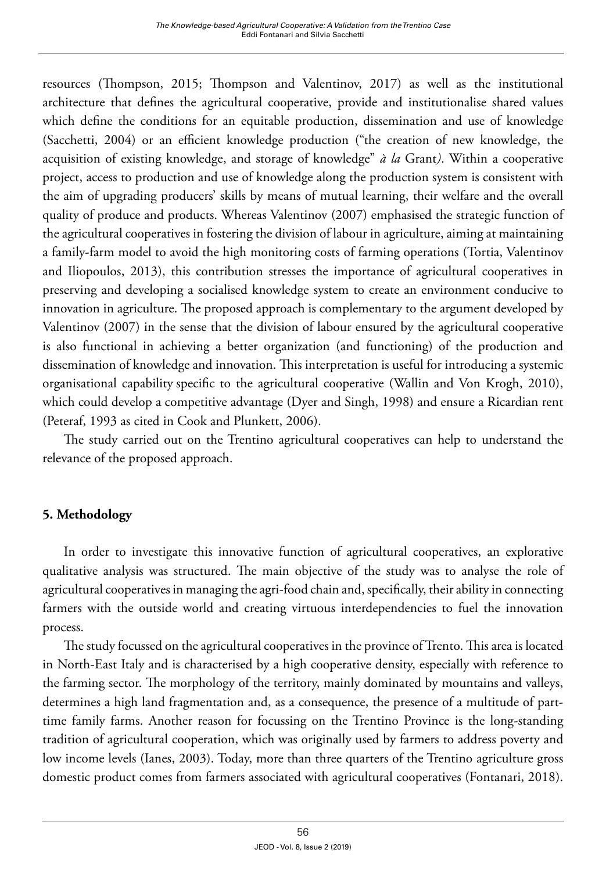resources (Thompson, 2015; Thompson and Valentinov, 2017) as well as the institutional architecture that defines the agricultural cooperative, provide and institutionalise shared values which define the conditions for an equitable production, dissemination and use of knowledge (Sacchetti, 2004) or an efficient knowledge production ("the creation of new knowledge, the acquisition of existing knowledge, and storage of knowledge" *à la* Grant*)*. Within a cooperative project, access to production and use of knowledge along the production system is consistent with the aim of upgrading producers' skills by means of mutual learning, their welfare and the overall quality of produce and products. Whereas Valentinov (2007) emphasised the strategic function of the agricultural cooperatives in fostering the division of labour in agriculture, aiming at maintaining a family-farm model to avoid the high monitoring costs of farming operations (Tortia, Valentinov and Iliopoulos, 2013), this contribution stresses the importance of agricultural cooperatives in preserving and developing a socialised knowledge system to create an environment conducive to innovation in agriculture. The proposed approach is complementary to the argument developed by Valentinov (2007) in the sense that the division of labour ensured by the agricultural cooperative is also functional in achieving a better organization (and functioning) of the production and dissemination of knowledge and innovation. This interpretation is useful for introducing a systemic organisational capability specific to the agricultural cooperative (Wallin and Von Krogh, 2010), which could develop a competitive advantage (Dyer and Singh, 1998) and ensure a Ricardian rent (Peteraf, 1993 as cited in Cook and Plunkett, 2006).

The study carried out on the Trentino agricultural cooperatives can help to understand the relevance of the proposed approach.

## **5. Methodology**

In order to investigate this innovative function of agricultural cooperatives, an explorative qualitative analysis was structured. The main objective of the study was to analyse the role of agricultural cooperatives in managing the agri-food chain and, specifically, their ability in connecting farmers with the outside world and creating virtuous interdependencies to fuel the innovation process.

The study focussed on the agricultural cooperatives in the province of Trento. This area is located in North-East Italy and is characterised by a high cooperative density, especially with reference to the farming sector. The morphology of the territory, mainly dominated by mountains and valleys, determines a high land fragmentation and, as a consequence, the presence of a multitude of parttime family farms. Another reason for focussing on the Trentino Province is the long-standing tradition of agricultural cooperation, which was originally used by farmers to address poverty and low income levels (Ianes, 2003). Today, more than three quarters of the Trentino agriculture gross domestic product comes from farmers associated with agricultural cooperatives (Fontanari, 2018).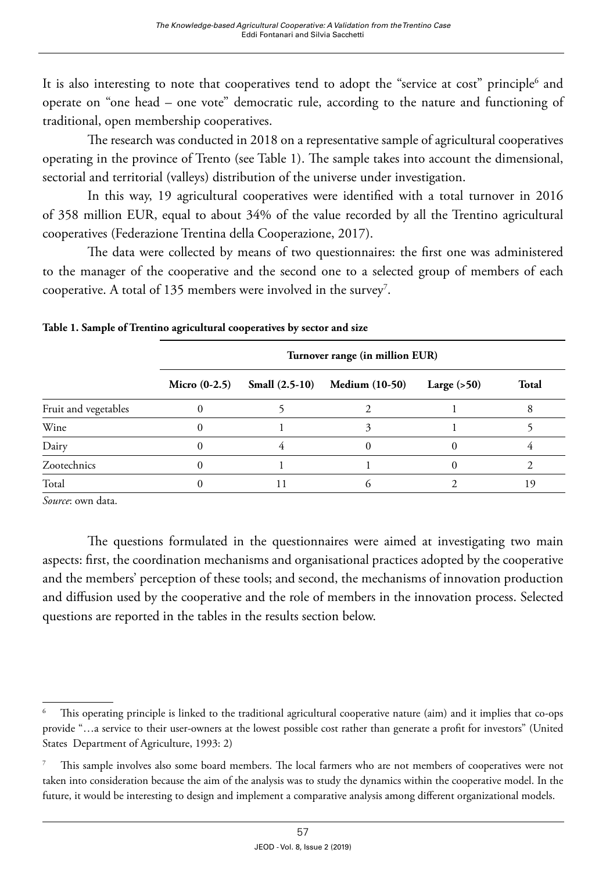It is also interesting to note that cooperatives tend to adopt the "service at cost" principle $^6$  and operate on "one head – one vote" democratic rule, according to the nature and functioning of traditional, open membership cooperatives.

The research was conducted in 2018 on a representative sample of agricultural cooperatives operating in the province of Trento (see Table 1). The sample takes into account the dimensional, sectorial and territorial (valleys) distribution of the universe under investigation.

In this way, 19 agricultural cooperatives were identified with a total turnover in 2016 of 358 million EUR, equal to about 34% of the value recorded by all the Trentino agricultural cooperatives (Federazione Trentina della Cooperazione, 2017).

The data were collected by means of two questionnaires: the first one was administered to the manager of the cooperative and the second one to a selected group of members of each cooperative. A total of 135 members were involved in the survey<sup>7</sup>.

|                      | Turnover range (in million EUR) |  |                                             |               |       |  |  |  |
|----------------------|---------------------------------|--|---------------------------------------------|---------------|-------|--|--|--|
|                      |                                 |  | Micro (0-2.5) Small (2.5-10) Medium (10-50) | Large $(>50)$ | Total |  |  |  |
| Fruit and vegetables |                                 |  |                                             |               |       |  |  |  |
| Wine                 |                                 |  |                                             |               |       |  |  |  |
| Dairy                |                                 |  |                                             |               |       |  |  |  |
| Zootechnics          |                                 |  |                                             |               |       |  |  |  |
| Total                |                                 |  |                                             |               | 19    |  |  |  |

*Source*: own data.

The questions formulated in the questionnaires were aimed at investigating two main aspects: first, the coordination mechanisms and organisational practices adopted by the cooperative and the members' perception of these tools; and second, the mechanisms of innovation production and diffusion used by the cooperative and the role of members in the innovation process. Selected questions are reported in the tables in the results section below.

<sup>6</sup> This operating principle is linked to the traditional agricultural cooperative nature (aim) and it implies that co-ops provide "…a service to their user-owners at the lowest possible cost rather than generate a profit for investors" (United States Department of Agriculture, 1993: 2)

<sup>7</sup> This sample involves also some board members. The local farmers who are not members of cooperatives were not taken into consideration because the aim of the analysis was to study the dynamics within the cooperative model. In the future, it would be interesting to design and implement a comparative analysis among different organizational models.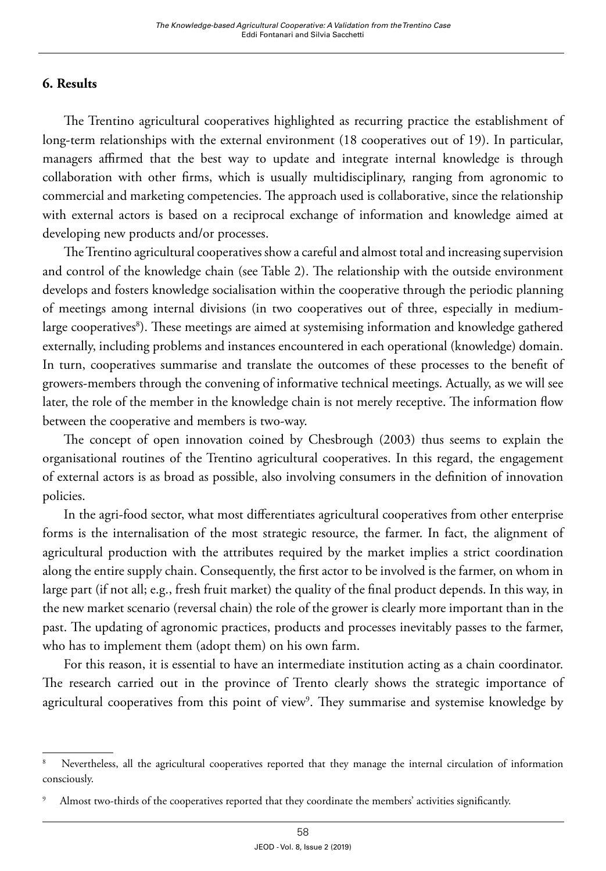## **6. Results**

The Trentino agricultural cooperatives highlighted as recurring practice the establishment of long-term relationships with the external environment (18 cooperatives out of 19). In particular, managers affirmed that the best way to update and integrate internal knowledge is through collaboration with other firms, which is usually multidisciplinary, ranging from agronomic to commercial and marketing competencies. The approach used is collaborative, since the relationship with external actors is based on a reciprocal exchange of information and knowledge aimed at developing new products and/or processes.

The Trentino agricultural cooperatives show a careful and almost total and increasing supervision and control of the knowledge chain (see Table 2). The relationship with the outside environment develops and fosters knowledge socialisation within the cooperative through the periodic planning of meetings among internal divisions (in two cooperatives out of three, especially in mediumlarge cooperatives<sup>8</sup>). These meetings are aimed at systemising information and knowledge gathered externally, including problems and instances encountered in each operational (knowledge) domain. In turn, cooperatives summarise and translate the outcomes of these processes to the benefit of growers-members through the convening of informative technical meetings. Actually, as we will see later, the role of the member in the knowledge chain is not merely receptive. The information flow between the cooperative and members is two-way.

The concept of open innovation coined by Chesbrough (2003) thus seems to explain the organisational routines of the Trentino agricultural cooperatives. In this regard, the engagement of external actors is as broad as possible, also involving consumers in the definition of innovation policies.

In the agri-food sector, what most differentiates agricultural cooperatives from other enterprise forms is the internalisation of the most strategic resource, the farmer. In fact, the alignment of agricultural production with the attributes required by the market implies a strict coordination along the entire supply chain. Consequently, the first actor to be involved is the farmer, on whom in large part (if not all; e.g., fresh fruit market) the quality of the final product depends. In this way, in the new market scenario (reversal chain) the role of the grower is clearly more important than in the past. The updating of agronomic practices, products and processes inevitably passes to the farmer, who has to implement them (adopt them) on his own farm.

For this reason, it is essential to have an intermediate institution acting as a chain coordinator. The research carried out in the province of Trento clearly shows the strategic importance of agricultural cooperatives from this point of view<sup>9</sup>. They summarise and systemise knowledge by

<sup>8</sup> Nevertheless, all the agricultural cooperatives reported that they manage the internal circulation of information consciously.

Almost two-thirds of the cooperatives reported that they coordinate the members' activities significantly.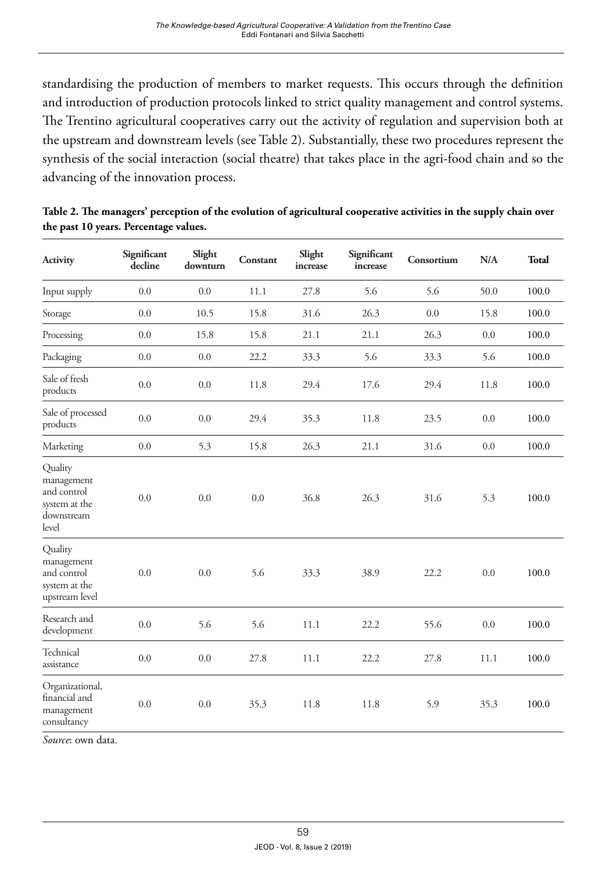standardising the production of members to market requests. This occurs through the definition and introduction of production protocols linked to strict quality management and control systems. The Trentino agricultural cooperatives carry out the activity of regulation and supervision both at the upstream and downstream levels (see Table 2). Substantially, these two procedures represent the synthesis of the social interaction (social theatre) that takes place in the agri-food chain and so the advancing of the innovation process.

| Activity                                                                     | Significant<br>decline | Slight<br>downturn | Constant | Slight<br>increase | Significant<br>increase | Consortium | N/A  | <b>Total</b> |
|------------------------------------------------------------------------------|------------------------|--------------------|----------|--------------------|-------------------------|------------|------|--------------|
| Input supply                                                                 | 0.0                    | 0.0                | 11.1     | 27.8               | 5.6                     | 5.6        | 50.0 | 100.0        |
| Storage                                                                      | 0.0                    | 10.5               | 15.8     | 31.6               | 26.3                    | 0.0        | 15.8 | 100.0        |
| Processing                                                                   | 0.0                    | 15.8               | 15.8     | 21.1               | 21.1                    | 26.3       | 0.0  | 100.0        |
| Packaging                                                                    | 0.0                    | 0.0                | 22.2     | 33.3               | 5.6                     | 33.3       | 5.6  | 100.0        |
| Sale of fresh<br>products                                                    | 0.0                    | 0.0                | 11.8     | 29.4               | 17.6                    | 29.4       | 11.8 | 100.0        |
| Sale of processed<br>products                                                | 0.0                    | 0.0                | 29.4     | 35.3               | 11.8                    | 23.5       | 0.0  | 100.0        |
| Marketing                                                                    | 0.0                    | 5.3                | 15.8     | 26.3               | 21.1                    | 31.6       | 0.0  | 100.0        |
| Quality<br>management<br>and control<br>system at the<br>downstream<br>level | 0.0                    | 0.0                | 0.0      | 36.8               | 26.3                    | 31.6       | 5.3  | 100.0        |
| Quality<br>management<br>and control<br>system at the<br>upstream level      | 0.0                    | 0.0                | 5.6      | 33.3               | 38.9                    | 22.2       | 0.0  | 100.0        |
| Research and<br>development                                                  | 0.0                    | 5.6                | 5.6      | 11.1               | 22.2                    | 55.6       | 0.0  | 100.0        |
| Technical<br>assistance                                                      | $0.0\,$                | 0.0                | 27.8     | 11.1               | 22.2                    | 27.8       | 11.1 | 100.0        |
| Organizational,<br>financial and<br>management<br>consultancy                | 0.0                    | 0.0                | 35.3     | 11.8               | 11.8                    | 5.9        | 35.3 | 100.0        |

|                                       | Table 2. The managers' perception of the evolution of agricultural cooperative activities in the supply chain over |  |  |
|---------------------------------------|--------------------------------------------------------------------------------------------------------------------|--|--|
| the past 10 years. Percentage values. |                                                                                                                    |  |  |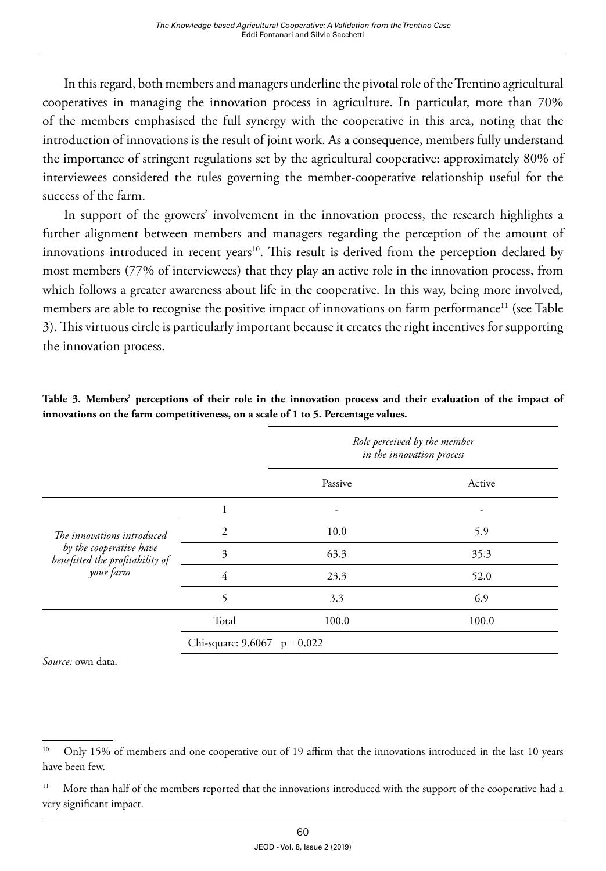In this regard, both members and managers underline the pivotal role of the Trentino agricultural cooperatives in managing the innovation process in agriculture. In particular, more than 70% of the members emphasised the full synergy with the cooperative in this area, noting that the introduction of innovations is the result of joint work. As a consequence, members fully understand the importance of stringent regulations set by the agricultural cooperative: approximately 80% of interviewees considered the rules governing the member-cooperative relationship useful for the success of the farm.

In support of the growers' involvement in the innovation process, the research highlights a further alignment between members and managers regarding the perception of the amount of innovations introduced in recent years<sup>10</sup>. This result is derived from the perception declared by most members (77% of interviewees) that they play an active role in the innovation process, from which follows a greater awareness about life in the cooperative. In this way, being more involved, members are able to recognise the positive impact of innovations on farm performance<sup>11</sup> (see Table 3). This virtuous circle is particularly important because it creates the right incentives for supporting the innovation process.

|                                                                                          |                                | Role perceived by the member<br>in the innovation process |        |  |  |
|------------------------------------------------------------------------------------------|--------------------------------|-----------------------------------------------------------|--------|--|--|
|                                                                                          |                                | Passive                                                   | Active |  |  |
| The innovations introduced<br>by the cooperative have<br>benefitted the profitability of |                                |                                                           |        |  |  |
|                                                                                          | $\overline{2}$                 | 10.0                                                      | 5.9    |  |  |
|                                                                                          | 3                              | 63.3                                                      | 35.3   |  |  |
| your farm                                                                                | $\overline{4}$                 | 23.3                                                      | 52.0   |  |  |
|                                                                                          | 5                              | 3.3                                                       | 6.9    |  |  |
|                                                                                          | Total                          | 100.0                                                     | 100.0  |  |  |
|                                                                                          | Chi-square: $9,6067$ p = 0,022 |                                                           |        |  |  |

**Table 3. Members' perceptions of their role in the innovation process and their evaluation of the impact of innovations on the farm competitiveness, on a scale of 1 to 5. Percentage values.**

<sup>&</sup>lt;sup>10</sup> Only 15% of members and one cooperative out of 19 affirm that the innovations introduced in the last 10 years have been few.

<sup>&</sup>lt;sup>11</sup> More than half of the members reported that the innovations introduced with the support of the cooperative had a very significant impact.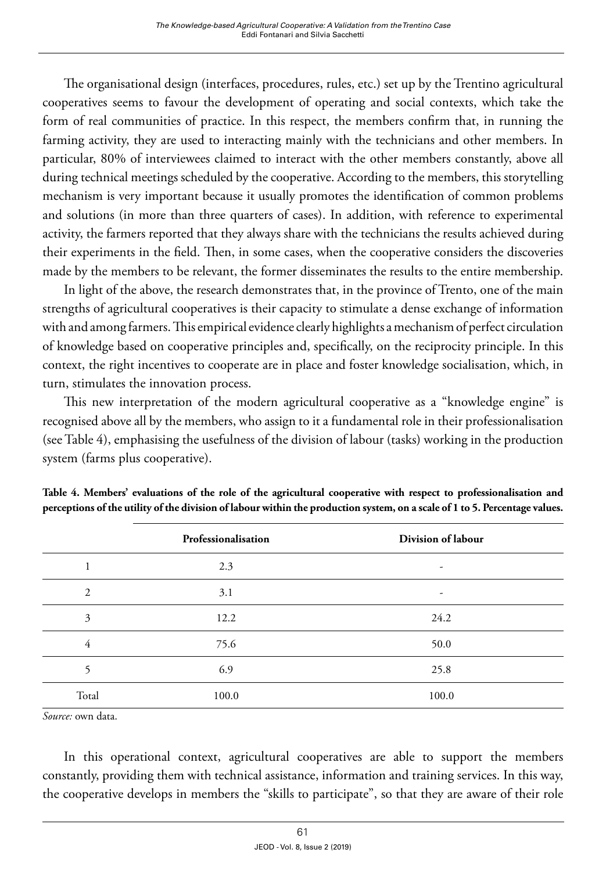The organisational design (interfaces, procedures, rules, etc.) set up by the Trentino agricultural cooperatives seems to favour the development of operating and social contexts, which take the form of real communities of practice. In this respect, the members confirm that, in running the farming activity, they are used to interacting mainly with the technicians and other members. In particular, 80% of interviewees claimed to interact with the other members constantly, above all during technical meetings scheduled by the cooperative. According to the members, this storytelling mechanism is very important because it usually promotes the identification of common problems and solutions (in more than three quarters of cases). In addition, with reference to experimental activity, the farmers reported that they always share with the technicians the results achieved during their experiments in the field. Then, in some cases, when the cooperative considers the discoveries made by the members to be relevant, the former disseminates the results to the entire membership.

In light of the above, the research demonstrates that, in the province of Trento, one of the main strengths of agricultural cooperatives is their capacity to stimulate a dense exchange of information with and among farmers. This empirical evidence clearly highlights a mechanism of perfect circulation of knowledge based on cooperative principles and, specifically, on the reciprocity principle. In this context, the right incentives to cooperate are in place and foster knowledge socialisation, which, in turn, stimulates the innovation process.

This new interpretation of the modern agricultural cooperative as a "knowledge engine" is recognised above all by the members, who assign to it a fundamental role in their professionalisation (see Table 4), emphasising the usefulness of the division of labour (tasks) working in the production system (farms plus cooperative).

|       | Professionalisation | Division of labour       |
|-------|---------------------|--------------------------|
|       | 2.3                 | $\overline{\phantom{a}}$ |
| 2     | 3.1                 | $\overline{\phantom{a}}$ |
| 3     | 12.2                | 24.2                     |
| 4     | 75.6                | 50.0                     |
| 5     | 6.9                 | 25.8                     |
| Total | 100.0               | 100.0                    |

**Table 4. Members' evaluations of the role of the agricultural cooperative with respect to professionalisation and perceptions of the utility of the division of labour within the production system, on a scale of 1 to 5. Percentage values.**

*Source:* own data.

In this operational context, agricultural cooperatives are able to support the members constantly, providing them with technical assistance, information and training services. In this way, the cooperative develops in members the "skills to participate", so that they are aware of their role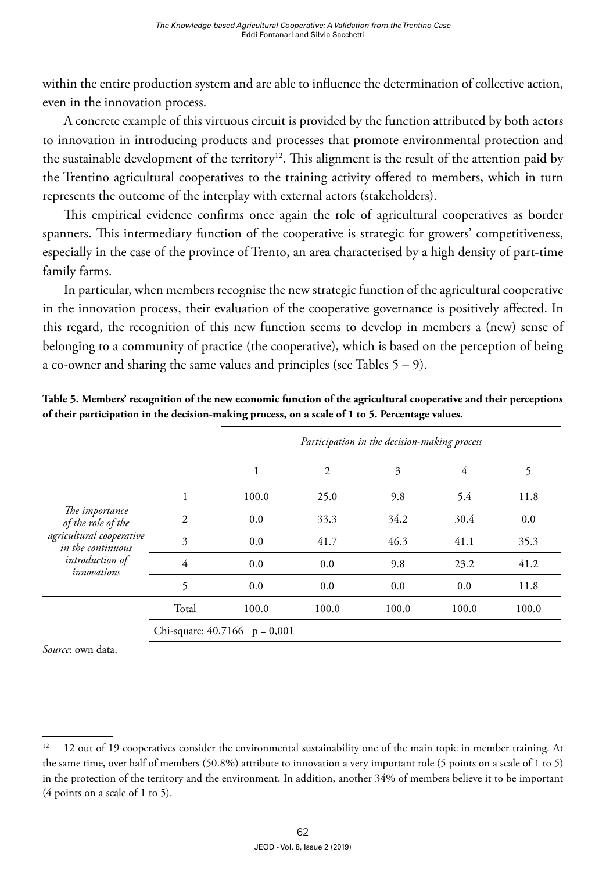within the entire production system and are able to influence the determination of collective action, even in the innovation process.

A concrete example of this virtuous circuit is provided by the function attributed by both actors to innovation in introducing products and processes that promote environmental protection and the sustainable development of the territory<sup>12</sup>. This alignment is the result of the attention paid by the Trentino agricultural cooperatives to the training activity offered to members, which in turn represents the outcome of the interplay with external actors (stakeholders).

This empirical evidence confirms once again the role of agricultural cooperatives as border spanners. This intermediary function of the cooperative is strategic for growers' competitiveness, especially in the case of the province of Trento, an area characterised by a high density of part-time family farms.

In particular, when members recognise the new strategic function of the agricultural cooperative in the innovation process, their evaluation of the cooperative governance is positively affected. In this regard, the recognition of this new function seems to develop in members a (new) sense of belonging to a community of practice (the cooperative), which is based on the perception of being a co-owner and sharing the same values and principles (see Tables  $5 - 9$ ).

| Table 5. Members' recognition of the new economic function of the agricultural cooperative and their perceptions |
|------------------------------------------------------------------------------------------------------------------|
| of their participation in the decision-making process, on a scale of 1 to 5. Percentage values.                  |

|                                                                                                                                |                                 | Participation in the decision-making process |                |       |       |       |
|--------------------------------------------------------------------------------------------------------------------------------|---------------------------------|----------------------------------------------|----------------|-------|-------|-------|
|                                                                                                                                |                                 |                                              | $\overline{2}$ | 3     | 4     | 5     |
| The importance<br>of the role of the<br>agricultural cooperative<br>in the continuous<br><i>introduction</i> of<br>innovations | 1                               | 100.0                                        | 25.0           | 9.8   | 5.4   | 11.8  |
|                                                                                                                                | $\overline{2}$                  | 0.0                                          | 33.3           | 34.2  | 30.4  | 0.0   |
|                                                                                                                                | 3                               | 0.0                                          | 41.7           | 46.3  | 41.1  | 35.3  |
|                                                                                                                                | 4                               | 0.0                                          | 0.0            | 9.8   | 23.2  | 41.2  |
|                                                                                                                                | 5                               | 0.0                                          | 0.0            | 0.0   | 0.0   | 11.8  |
|                                                                                                                                | Total                           | 100.0                                        | 100.0          | 100.0 | 100.0 | 100.0 |
|                                                                                                                                | Chi-square: $40,7166$ p = 0,001 |                                              |                |       |       |       |

 $12$  12 out of 19 cooperatives consider the environmental sustainability one of the main topic in member training. At the same time, over half of members (50.8%) attribute to innovation a very important role (5 points on a scale of 1 to 5) in the protection of the territory and the environment. In addition, another 34% of members believe it to be important (4 points on a scale of 1 to 5).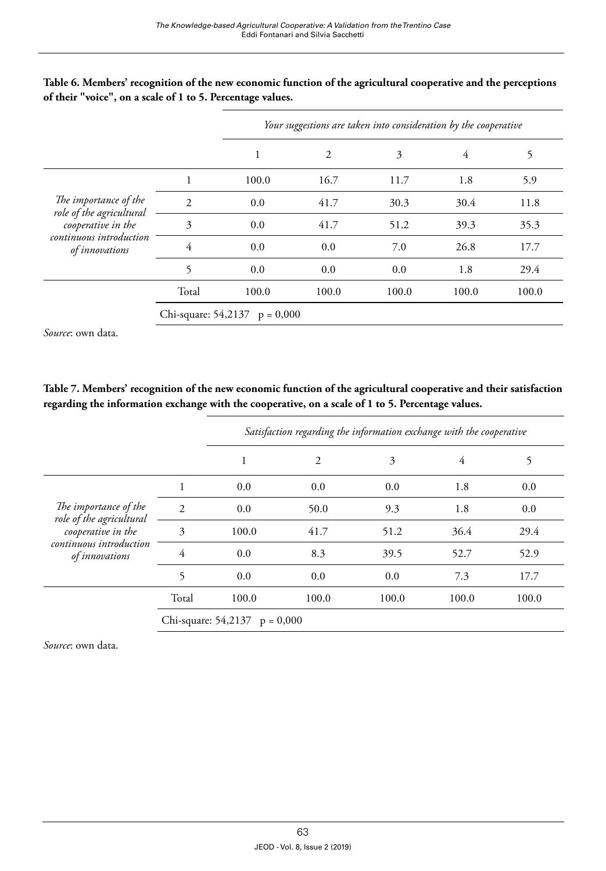|                                                                                                                      |                                 | Your suggestions are taken into consideration by the cooperative |       |       |       |       |
|----------------------------------------------------------------------------------------------------------------------|---------------------------------|------------------------------------------------------------------|-------|-------|-------|-------|
|                                                                                                                      |                                 | 1                                                                | 2     | 3     | 4     | 5     |
| The importance of the<br>role of the agricultural<br>cooperative in the<br>continuous introduction<br>of innovations |                                 | 100.0                                                            | 16.7  | 11.7  | 1.8   | 5.9   |
|                                                                                                                      | $\mathcal{D}$                   | 0.0                                                              | 41.7  | 30.3  | 30.4  | 11.8  |
|                                                                                                                      | 3                               | 0.0                                                              | 41.7  | 51.2  | 39.3  | 35.3  |
|                                                                                                                      | 4                               | 0.0                                                              | 0.0   | 7.0   | 26.8  | 17.7  |
|                                                                                                                      | 5                               | 0.0                                                              | 0.0   | 0.0   | 1.8   | 29.4  |
|                                                                                                                      | Total                           | 100.0                                                            | 100.0 | 100.0 | 100.0 | 100.0 |
|                                                                                                                      | Chi-square: $54,2137$ p = 0,000 |                                                                  |       |       |       |       |

#### **Table 6. Members' recognition of the new economic function of the agricultural cooperative and the perceptions of their "voice", on a scale of 1 to 5. Percentage values.**

*Source*: own data.

#### **Table 7. Members' recognition of the new economic function of the agricultural cooperative and their satisfaction regarding the information exchange with the cooperative, on a scale of 1 to 5. Percentage values.**

|                                                                                                                      |                     | Satisfaction regarding the information exchange with the cooperative |                |       |       |       |
|----------------------------------------------------------------------------------------------------------------------|---------------------|----------------------------------------------------------------------|----------------|-------|-------|-------|
|                                                                                                                      |                     | 1                                                                    | $\overline{2}$ | 3     | 4     | 5     |
| The importance of the<br>role of the agricultural<br>cooperative in the<br>continuous introduction<br>of innovations |                     | 0.0                                                                  | 0.0            | 0.0   | 1.8   | 0.0   |
|                                                                                                                      | $\overline{2}$      | 0.0                                                                  | 50.0           | 9.3   | 1.8   | 0.0   |
|                                                                                                                      | 3                   | 100.0                                                                | 41.7           | 51.2  | 36.4  | 29.4  |
|                                                                                                                      | 4                   | 0.0                                                                  | 8.3            | 39.5  | 52.7  | 52.9  |
|                                                                                                                      | 5                   | 0.0                                                                  | 0.0            | 0.0   | 7.3   | 17.7  |
|                                                                                                                      | Total               | 100.0                                                                | 100.0          | 100.0 | 100.0 | 100.0 |
|                                                                                                                      | Chi-square: 54,2137 | $p = 0,000$                                                          |                |       |       |       |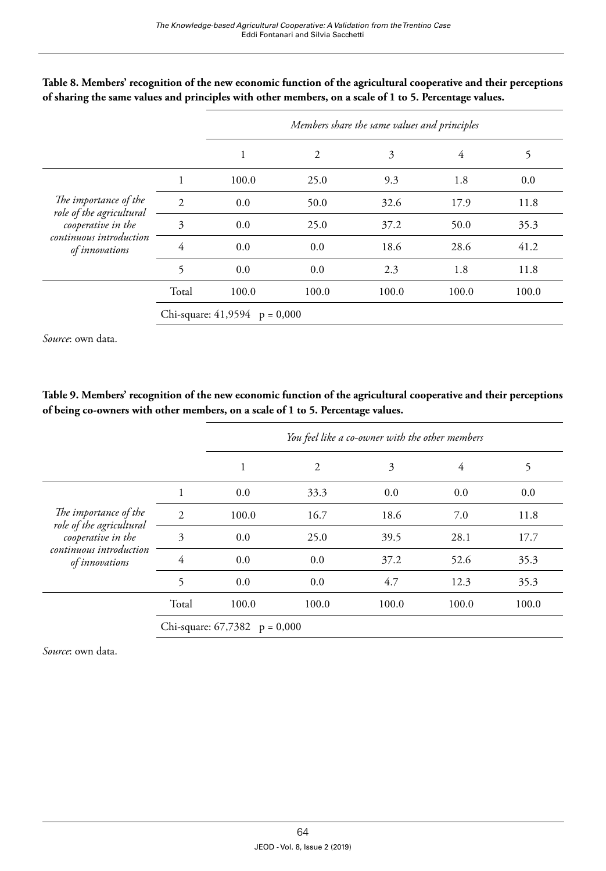|                                                                         |                                 | Members share the same values and principles |       |       |       |       |
|-------------------------------------------------------------------------|---------------------------------|----------------------------------------------|-------|-------|-------|-------|
|                                                                         |                                 |                                              | 2     | 3     | 4     | 5     |
| The importance of the<br>role of the agricultural<br>cooperative in the | 1                               | 100.0                                        | 25.0  | 9.3   | 1.8   | 0.0   |
|                                                                         | 2                               | 0.0                                          | 50.0  | 32.6  | 17.9  | 11.8  |
|                                                                         | 3                               | 0.0                                          | 25.0  | 37.2  | 50.0  | 35.3  |
| continuous introduction<br>of innovations                               | 4                               | 0.0                                          | 0.0   | 18.6  | 28.6  | 41.2  |
|                                                                         | 5                               | 0.0                                          | 0.0   | 2.3   | 1.8   | 11.8  |
|                                                                         | Total                           | 100.0                                        | 100.0 | 100.0 | 100.0 | 100.0 |
|                                                                         | Chi-square: $41,9594$ p = 0,000 |                                              |       |       |       |       |

#### **Table 8. Members' recognition of the new economic function of the agricultural cooperative and their perceptions of sharing the same values and principles with other members, on a scale of 1 to 5. Percentage values.**

*Source*: own data.

#### **Table 9. Members' recognition of the new economic function of the agricultural cooperative and their perceptions of being co-owners with other members, on a scale of 1 to 5. Percentage values.**

|                                                                         |       | You feel like a co-owner with the other members |                |       |       |       |
|-------------------------------------------------------------------------|-------|-------------------------------------------------|----------------|-------|-------|-------|
|                                                                         |       | 1                                               | $\overline{2}$ | 3     | 4     | 5     |
| The importance of the<br>role of the agricultural<br>cooperative in the |       | 0.0                                             | 33.3           | 0.0   | 0.0   | 0.0   |
|                                                                         | 2     | 100.0                                           | 16.7           | 18.6  | 7.0   | 11.8  |
|                                                                         | 3     | 0.0                                             | 25.0           | 39.5  | 28.1  | 17.7  |
| continuous introduction<br>of innovations                               | 4     | 0.0                                             | 0.0            | 37.2  | 52.6  | 35.3  |
|                                                                         | 5     | 0.0                                             | 0.0            | 4.7   | 12.3  | 35.3  |
|                                                                         | Total | 100.0                                           | 100.0          | 100.0 | 100.0 | 100.0 |
|                                                                         |       | Chi-square: $67,7382$ p = 0,000                 |                |       |       |       |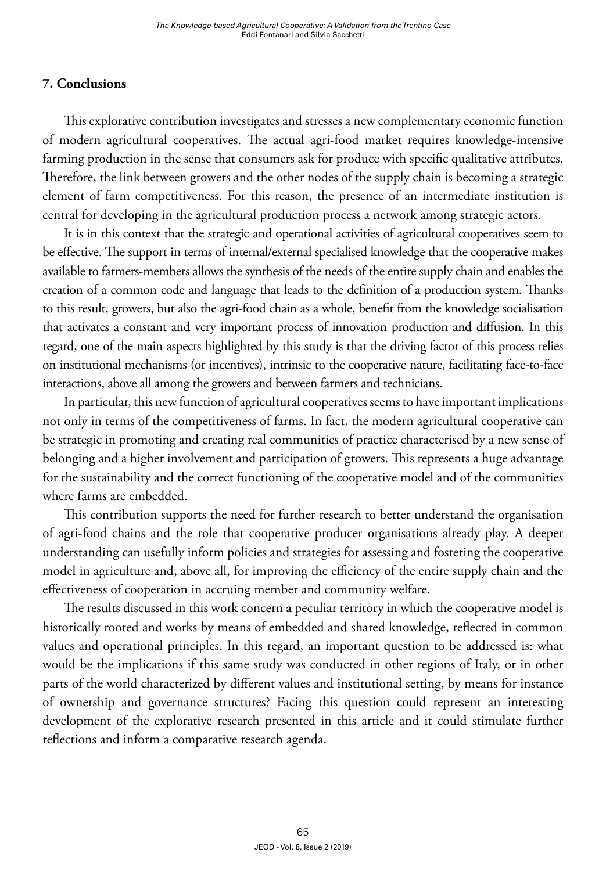## **7. Conclusions**

This explorative contribution investigates and stresses a new complementary economic function of modern agricultural cooperatives. The actual agri-food market requires knowledge-intensive farming production in the sense that consumers ask for produce with specific qualitative attributes. Therefore, the link between growers and the other nodes of the supply chain is becoming a strategic element of farm competitiveness. For this reason, the presence of an intermediate institution is central for developing in the agricultural production process a network among strategic actors.

It is in this context that the strategic and operational activities of agricultural cooperatives seem to be effective. The support in terms of internal/external specialised knowledge that the cooperative makes available to farmers-members allows the synthesis of the needs of the entire supply chain and enables the creation of a common code and language that leads to the definition of a production system. Thanks to this result, growers, but also the agri-food chain as a whole, benefit from the knowledge socialisation that activates a constant and very important process of innovation production and diffusion. In this regard, one of the main aspects highlighted by this study is that the driving factor of this process relies on institutional mechanisms (or incentives), intrinsic to the cooperative nature, facilitating face-to-face interactions, above all among the growers and between farmers and technicians.

In particular, this new function of agricultural cooperatives seems to have important implications not only in terms of the competitiveness of farms. In fact, the modern agricultural cooperative can be strategic in promoting and creating real communities of practice characterised by a new sense of belonging and a higher involvement and participation of growers. This represents a huge advantage for the sustainability and the correct functioning of the cooperative model and of the communities where farms are embedded.

This contribution supports the need for further research to better understand the organisation of agri-food chains and the role that cooperative producer organisations already play. A deeper understanding can usefully inform policies and strategies for assessing and fostering the cooperative model in agriculture and, above all, for improving the efficiency of the entire supply chain and the effectiveness of cooperation in accruing member and community welfare.

The results discussed in this work concern a peculiar territory in which the cooperative model is historically rooted and works by means of embedded and shared knowledge, reflected in common values and operational principles. In this regard, an important question to be addressed is: what would be the implications if this same study was conducted in other regions of Italy, or in other parts of the world characterized by different values and institutional setting, by means for instance of ownership and governance structures? Facing this question could represent an interesting development of the explorative research presented in this article and it could stimulate further reflections and inform a comparative research agenda.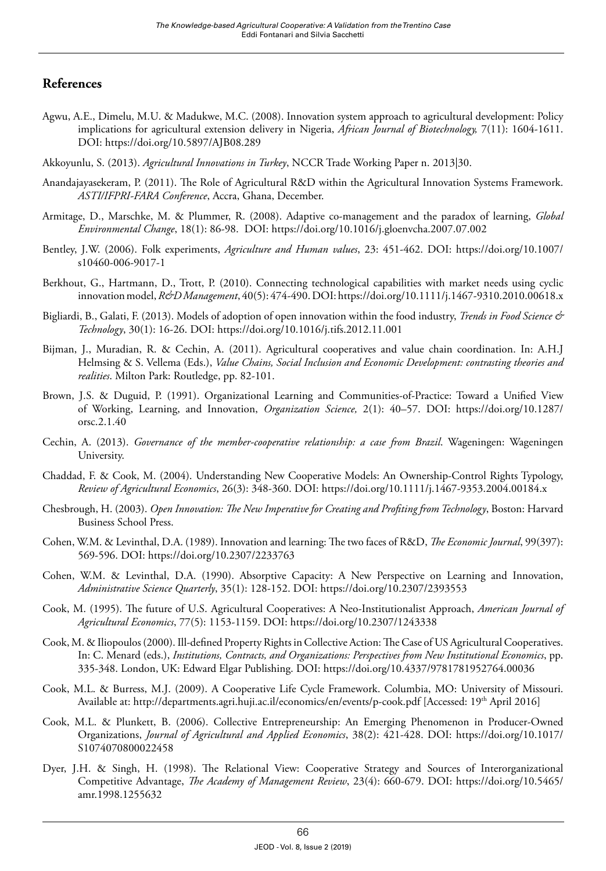## **References**

- Agwu, A.E., Dimelu, M.U. & Madukwe, M.C. (2008). Innovation system approach to agricultural development: Policy implications for agricultural extension delivery in Nigeria, *African Journal of Biotechnology,* 7(11): 1604-1611. DOI:<https://doi.org/10.5897/AJB08.289>
- Akkoyunlu, S. (2013). *Agricultural Innovations in Turkey*, NCCR Trade Working Paper n. 2013|30.
- Anandajayasekeram, P. (2011). The Role of Agricultural R&D within the Agricultural Innovation Systems Framework. *ASTI/IFPRI-FARA Conference*, Accra, Ghana, December.
- Armitage, D., Marschke, M. & Plummer, R. (2008). Adaptive co-management and the paradox of learning, *Global Environmental Change*, 18(1): 86-98. DOI:<https://doi.org/10.1016/j.gloenvcha.2007.07.002>
- Bentley, J.W. (2006). Folk experiments, *Agriculture and Human values*, 23: 451-462. DOI: [https://doi.org/10.1007/](https://doi.org/10.1007/s10460-006-9017-1) [s10460-006-9017-1](https://doi.org/10.1007/s10460-006-9017-1)
- Berkhout, G., Hartmann, D., Trott, P. (2010). Connecting technological capabilities with market needs using cyclic innovation model, *R&D Management*, 40(5): 474-490. DOI:<https://doi.org/10.1111/j.1467-9310.2010.00618.x>
- Bigliardi, B., Galati, F. (2013). Models of adoption of open innovation within the food industry, *Trends in Food Science & Technology*, 30(1): 16-26. DOI: <https://doi.org/10.1016/j.tifs.2012.11.001>
- Bijman, J., Muradian, R. & Cechin, A. (2011). Agricultural cooperatives and value chain coordination. In: A.H.J Helmsing & S. Vellema (Eds.), *Value Chains, Social Inclusion and Economic Development: contrasting theories and realities*. Milton Park: Routledge, pp. 82-101.
- Brown, J.S. & Duguid, P. (1991). Organizational Learning and Communities-of-Practice: Toward a Unified View of Working, Learning, and Innovation, *Organization Science,* 2(1): 40–57. DOI: [https://doi.org/10.1287/](https://doi.org/10.1287/orsc.2.1.40) [orsc.2.1.40](https://doi.org/10.1287/orsc.2.1.40)
- Cechin, A. (2013). *Governance of the member-cooperative relationship: a case from Brazil*. Wageningen: Wageningen University.
- Chaddad, F. & Cook, M. (2004). Understanding New Cooperative Models: An Ownership-Control Rights Typology, *Review of Agricultural Economics*, 26(3): 348-360. DOI:<https://doi.org/10.1111/j.1467-9353.2004.00184.x>
- Chesbrough, H. (2003). *Open Innovation: The New Imperative for Creating and Profiting from Technology*, Boston: Harvard Business School Press.
- Cohen, W.M. & Levinthal, D.A. (1989). Innovation and learning: The two faces of R&D, *The Economic Journal*, 99(397): 569-596. DOI:<https://doi.org/10.2307/2233763>
- Cohen, W.M. & Levinthal, D.A. (1990). Absorptive Capacity: A New Perspective on Learning and Innovation, *Administrative Science Quarterly*, 35(1): 128-152. DOI:<https://doi.org/10.2307/2393553>
- Cook, M. (1995). The future of U.S. Agricultural Cooperatives: A Neo-Institutionalist Approach, *American Journal of Agricultural Economics*, 77(5): 1153-1159. DOI:<https://doi.org/10.2307/1243338>
- Cook, M. & Iliopoulos (2000). Ill-defined Property Rights in Collective Action: The Case of US Agricultural Cooperatives. In: C. Menard (eds.), *Institutions, Contracts, and Organizations: Perspectives from New Institutional Economics*, pp. 335-348. London, UK: Edward Elgar Publishing. DOI: <https://doi.org/10.4337/9781781952764.00036>
- Cook, M.L. & Burress, M.J. (2009). A Cooperative Life Cycle Framework. Columbia, MO: University of Missouri. Available at: <http://departments.agri.huji.ac.il/economics/en/events/p-cook.pdf> [Accessed: 19<sup>th</sup> April 2016]
- Cook, M.L. & Plunkett, B. (2006). Collective Entrepreneurship: An Emerging Phenomenon in Producer-Owned Organizations, *Journal of Agricultural and Applied Economics*, 38(2): 421-428. DOI: [https://doi.org/10.1017/](https://doi.org/10.1017/S1074070800022458) [S1074070800022458](https://doi.org/10.1017/S1074070800022458)
- Dyer, J.H. & Singh, H. (1998). The Relational View: Cooperative Strategy and Sources of Interorganizational Competitive Advantage, *The Academy of Management Review*, 23(4): 660-679. DOI: [https://doi.org/10.5465/](https://doi.org/10.5465/amr.1998.1255632) [amr.1998.1255632](https://doi.org/10.5465/amr.1998.1255632)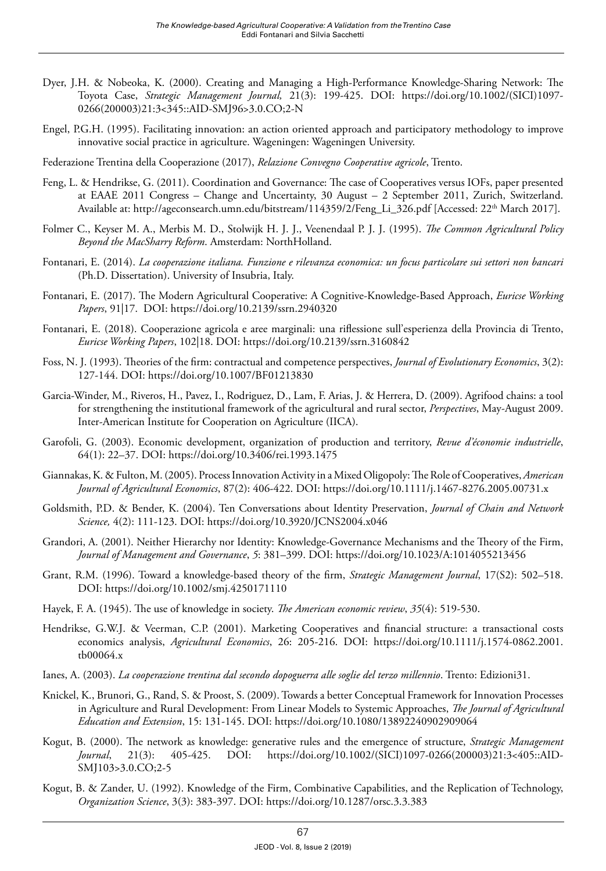- Dyer, J.H. & Nobeoka, K. (2000). Creating and Managing a High-Performance Knowledge-Sharing Network: The Toyota Case, *Strategic Management Journal,* 21(3): 199-425. DOI: [https://doi.org/10.1002/\(SICI\)1097-](https://doi.org/10.1002/(SICI)1097-0266(200003)21:3%3C345::AID-SMJ96%3E3.0.CO;2-N) [0266\(200003\)21:3<345::AID-SMJ96>3.0.CO;2-N](https://doi.org/10.1002/(SICI)1097-0266(200003)21:3%3C345::AID-SMJ96%3E3.0.CO;2-N)
- Engel, P.G.H. (1995). Facilitating innovation: an action oriented approach and participatory methodology to improve innovative social practice in agriculture. Wageningen: Wageningen University.
- Federazione Trentina della Cooperazione (2017), *Relazione Convegno Cooperative agricole*, Trento.
- Feng, L. & Hendrikse, G. (2011). Coordination and Governance: The case of Cooperatives versus IOFs, paper presented at EAAE 2011 Congress – Change and Uncertainty, 30 August – 2 September 2011, Zurich, Switzerland. Available at: [http://ageconsearch.umn.edu/bitstream/114359/2/Feng\\_Li\\_326.pdf](http://ageconsearch.umn.edu/bitstream/114359/2/Feng_Li_326.pdf) [Accessed: 22<sup>th</sup> March 2017].
- Folmer C., Keyser M. A., Merbis M. D., Stolwijk H. J. J., Veenendaal P. J. J. (1995). *The Common Agricultural Policy Beyond the MacSharry Reform*. Amsterdam: NorthHolland.
- Fontanari, E. (2014). *La cooperazione italiana. Funzione e rilevanza economica: un focus particolare sui settori non bancari* (Ph.D. Dissertation). University of Insubria, Italy.
- Fontanari, E. (2017). The Modern Agricultural Cooperative: A Cognitive-Knowledge-Based Approach, *Euricse Working Papers*, 91|17. DOI: <https://doi.org/10.2139/ssrn.2940320>
- Fontanari, E. (2018). Cooperazione agricola e aree marginali: una riflessione sull'esperienza della Provincia di Trento, *Euricse Working Papers*, 102|18. DOI:<https://doi.org/10.2139/ssrn.3160842>
- Foss, N. J. (1993). Theories of the firm: contractual and competence perspectives, *Journal of Evolutionary Economics*, 3(2): 127-144. DOI:<https://doi.org/10.1007/BF01213830>
- Garcia-Winder, M., Riveros, H., Pavez, I., Rodriguez, D., Lam, F. Arias, J. & Herrera, D. (2009). Agrifood chains: a tool for strengthening the institutional framework of the agricultural and rural sector, *Perspectives*, May-August 2009. Inter-American Institute for Cooperation on Agriculture (IICA).
- Garofoli, G. (2003). Economic development, organization of production and territory, *Revue d'économie industrielle*, 64(1): 22–37. DOI: <https://doi.org/10.3406/rei.1993.1475>
- Giannakas, K. & Fulton, M. (2005). Process Innovation Activity in a Mixed Oligopoly: The Role of Cooperatives, *American Journal of Agricultural Economics*, 87(2): 406-422. DOI: <https://doi.org/10.1111/j.1467-8276.2005.00731.x>
- Goldsmith, P.D. & Bender, K. (2004). Ten Conversations about Identity Preservation, *Journal of Chain and Network Science,* 4(2): 111-123. DOI: <https://doi.org/10.3920/JCNS2004.x046>
- Grandori, A. (2001). Neither Hierarchy nor Identity: Knowledge-Governance Mechanisms and the Theory of the Firm, *Journal of Management and Governance*, *5*: 381–399. DOI: <https://doi.org/10.1023/A:1014055213456>
- Grant, R.M. (1996). Toward a knowledge-based theory of the firm, *Strategic Management Journal*, 17(S2): 502–518. DOI:<https://doi.org/10.1002/smj.4250171110>
- Hayek, F. A. (1945). The use of knowledge in society. *The American economic review*, *35*(4): 519-530.
- Hendrikse, G.W.J. & Veerman, C.P. (2001). Marketing Cooperatives and financial structure: a transactional costs economics analysis, *Agricultural Economics*, 26: 205-216. DOI: [https://doi.org/10.1111/j.1574-0862.2001.](https://doi.org/10.1111/j.1574-0862.2001.tb00064.x) [tb00064.x](https://doi.org/10.1111/j.1574-0862.2001.tb00064.x)
- Ianes, A. (2003). *La cooperazione trentina dal secondo dopoguerra alle soglie del terzo millennio*. Trento: Edizioni31.
- Knickel, K., Brunori, G., Rand, S. & Proost, S. (2009). Towards a better Conceptual Framework for Innovation Processes in Agriculture and Rural Development: From Linear Models to Systemic Approaches, *The Journal of Agricultural Education and Extension*, 15: 131-145. DOI: <https://doi.org/10.1080/13892240902909064>
- Kogut, B. (2000). The network as knowledge: generative rules and the emergence of structure, *Strategic Management Journal*, 21(3): 405-425. DOI: [https://doi.org/10.1002/\(SICI\)1097-0266\(200003\)21:3<405::AID-](https://doi.org/10.1002/(SICI)1097-0266(200003)21:3%3C405::AID-SMJ103%3E3.0.CO;2-5)[SMJ103>3.0.CO;2-5](https://doi.org/10.1002/(SICI)1097-0266(200003)21:3%3C405::AID-SMJ103%3E3.0.CO;2-5)
- Kogut, B. & Zander, U. (1992). Knowledge of the Firm, Combinative Capabilities, and the Replication of Technology, *Organization Science*, 3(3): 383-397. DOI: <https://doi.org/10.1287/orsc.3.3.383>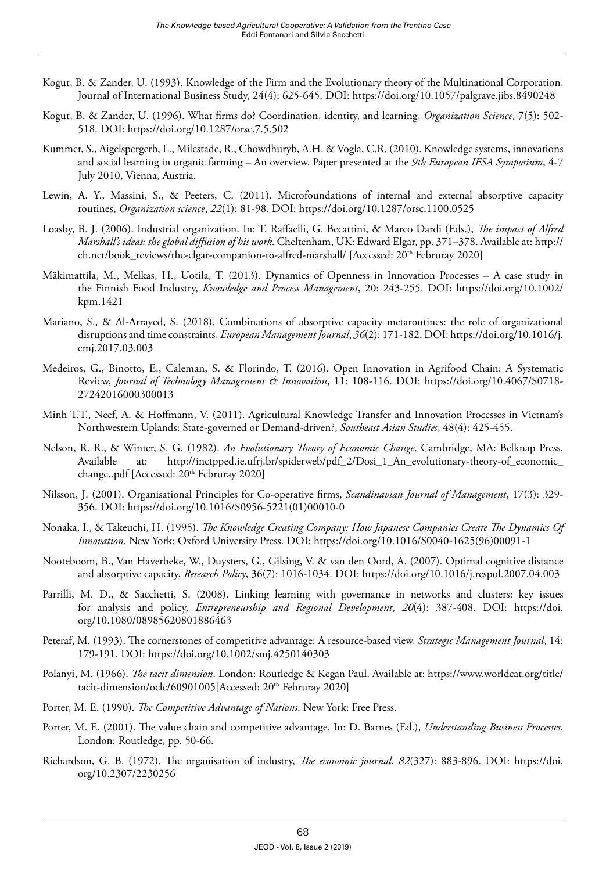- Kogut, B. & Zander, U. (1993). Knowledge of the Firm and the Evolutionary theory of the Multinational Corporation, Journal of International Business Study, 24(4): 625-645. DOI:<https://doi.org/10.1057/palgrave.jibs.8490248>
- Kogut, B. & Zander, U. (1996). What firms do? Coordination, identity, and learning, *Organization Science,* 7(5): 502- 518. DOI:<https://doi.org/10.1287/orsc.7.5.502>
- Kummer, S., Aigelspergerb, L., Milestade, R., Chowdhuryb, A.H. & Vogla, C.R. (2010). Knowledge systems, innovations and social learning in organic farming – An overview. Paper presented at the *9th European IFSA Symposium*, 4-7 July 2010, Vienna, Austria.
- Lewin, A. Y., Massini, S., & Peeters, C. (2011). Microfoundations of internal and external absorptive capacity routines, *Organization science*, *22*(1): 81-98. DOI:<https://doi.org/10.1287/orsc.1100.0525>
- Loasby, B. J. (2006). Industrial organization. In: T. Raffaelli, G. Becattini, & Marco Dardi (Eds.), *The impact of Alfred Marshall's ideas: the global diffusion of his work*. Cheltenham, UK: Edward Elgar, pp. 371–378. Available at: [http://](http://eh.net/book_reviews/the-elgar-companion-to-alfred-marshall/) [eh.net/book\\_reviews/the-elgar-companion-to-alfred-marshall/](http://eh.net/book_reviews/the-elgar-companion-to-alfred-marshall/) [Accessed: 20th Februray 2020]
- Mäkimattila, M., Melkas, H., Uotila, T. (2013). Dynamics of Openness in Innovation Processes A case study in the Finnish Food Industry, *Knowledge and Process Management*, 20: 243-255. DOI: [https://doi.org/10.1002/](https://doi.org/10.1002/kpm.1421) [kpm.1421](https://doi.org/10.1002/kpm.1421)
- Mariano, S., & Al-Arrayed, S. (2018). Combinations of absorptive capacity metaroutines: the role of organizational disruptions and time constraints, *European Management Journal*, *36*(2): 171-182. DOI: [https://doi.org/10.1016/j.](https://doi.org/10.1016/j.emj.2017.03.003) [emj.2017.03.003](https://doi.org/10.1016/j.emj.2017.03.003)
- Medeiros, G., Binotto, E., Caleman, S. & Florindo, T. (2016). Open Innovation in Agrifood Chain: A Systematic Review, *Journal of Technology Management & Innovation*, 11: 108-116. DOI: [https://doi.org/10.4067/S0718-](https://doi.org/10.4067/S0718-27242016000300013) [27242016000300013](https://doi.org/10.4067/S0718-27242016000300013)
- Minh T.T., Neef, A. & Hoffmann, V. (2011). Agricultural Knowledge Transfer and Innovation Processes in Vietnam's Northwestern Uplands: State-governed or Demand-driven?, *Southeast Asian Studies*, 48(4): 425-455.
- Nelson, R. R., & Winter, S. G. (1982). *An Evolutionary Theory of Economic Change*. Cambridge, MA: Belknap Press. Available at: [http://inctpped.ie.ufrj.br/spiderweb/pdf\\_2/Dosi\\_1\\_An\\_evolutionary-theory-of\\_economic\\_](http://inctpped.ie.ufrj.br/spiderweb/pdf_2/Dosi_1_An_evolutionary-theory-of_economic_change..pdf) [change..pdf](http://inctpped.ie.ufrj.br/spiderweb/pdf_2/Dosi_1_An_evolutionary-theory-of_economic_change..pdf) [Accessed: 20<sup>th</sup> Februray 2020]
- Nilsson, J. (2001). Organisational Principles for Co-operative firms, *Scandinavian Journal of Management*, 17(3): 329- 356. DOI: [https://doi.org/10.1016/S0956-5221\(01\)00010-0](https://doi.org/10.1016/S0956-5221(01)00010-0)
- Nonaka, I., & Takeuchi, H. (1995). *The Knowledge Creating Company: How Japanese Companies Create The Dynamics Of Innovation*. New York: Oxford University Press. DOI: [https://doi.org/10.1016/S0040-1625\(96\)00091-1](https://doi.org/10.1016/S0040-1625(96)00091-1)
- Nooteboom, B., Van Haverbeke, W., Duysters, G., Gilsing, V. & van den Oord, A. (2007). Optimal cognitive distance and absorptive capacity, *Research Policy*, 36(7): 1016-1034. DOI: <https://doi.org/10.1016/j.respol.2007.04.003>
- Parrilli, M. D., & Sacchetti, S. (2008). Linking learning with governance in networks and clusters: key issues for analysis and policy, *Entrepreneurship and Regional Development*, *20*(4): 387-408. DOI: [https://doi.](https://doi.org/10.1080/08985620801886463) [org/10.1080/08985620801886463](https://doi.org/10.1080/08985620801886463)
- Peteraf, M. (1993). The cornerstones of competitive advantage: A resource-based view, *Strategic Management Journal*, 14: 179-191. DOI:<https://doi.org/10.1002/smj.4250140303>
- Polanyi, M. (1966). *The tacit dimension*. London: Routledge & Kegan Paul. Available at: [https://www.worldcat.org/title/](https://www.worldcat.org/title/tacit-dimension/oclc/60901005) [tacit-dimension/oclc/60901005\[](https://www.worldcat.org/title/tacit-dimension/oclc/60901005)Accessed: 20<sup>th</sup> Februray 2020]
- Porter, M. E. (1990). *The Competitive Advantage of Nations*. New York: Free Press.
- Porter, M. E. (2001). The value chain and competitive advantage. In: D. Barnes (Ed.), *Understanding Business Processes*. London: Routledge, pp. 50-66.
- Richardson, G. B. (1972). The organisation of industry, *The economic journal*, *82*(327): 883-896. DOI: [https://doi.](https://doi.org/10.2307/2230256) [org/10.2307/2230256](https://doi.org/10.2307/2230256)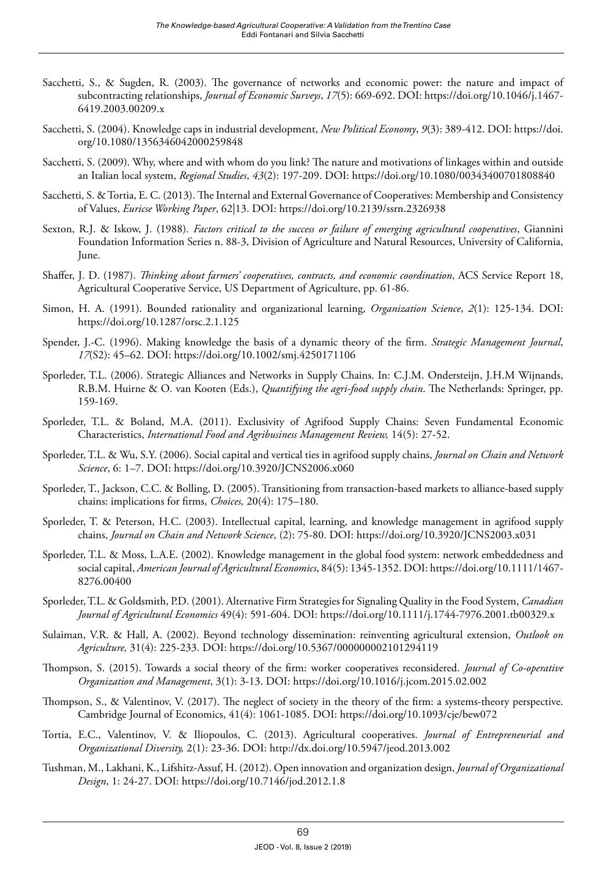- Sacchetti, S., & Sugden, R. (2003). The governance of networks and economic power: the nature and impact of subcontracting relationships, *Journal of Economic Surveys*, *17*(5): 669-692. DOI: [https://doi.org/10.1046/j.1467-](https://doi.org/10.1046/j.1467-6419.2003.00209.x) [6419.2003.00209.x](https://doi.org/10.1046/j.1467-6419.2003.00209.x)
- Sacchetti, S. (2004). Knowledge caps in industrial development, *New Political Economy*, *9*(3): 389-412. DOI: [https://doi.](https://doi.org/10.1080/1356346042000259848) [org/10.1080/1356346042000259848](https://doi.org/10.1080/1356346042000259848)
- Sacchetti, S. (2009). Why, where and with whom do you link? The nature and motivations of linkages within and outside an Italian local system, *Regional Studies*, *43*(2): 197-209. DOI: <https://doi.org/10.1080/00343400701808840>
- Sacchetti, S. & Tortia, E. C. (2013). The Internal and External Governance of Cooperatives: Membership and Consistency of Values, *Euricse Working Paper*, 62|13. DOI:<https://doi.org/10.2139/ssrn.2326938>
- Sexton, R.J. & Iskow, J. (1988). *Factors critical to the success or failure of emerging agricultural cooperatives*, Giannini Foundation Information Series n. 88-3, Division of Agriculture and Natural Resources, University of California, June.
- Shaffer, J. D. (1987). *Thinking about farmers' cooperatives, contracts, and economic coordination*, ACS Service Report 18, Agricultural Cooperative Service, US Department of Agriculture, pp. 61-86.
- Simon, H. A. (1991). Bounded rationality and organizational learning, *Organization Science*, *2*(1): 125-134. DOI: <https://doi.org/10.1287/orsc.2.1.125>
- Spender, J.-C. (1996). Making knowledge the basis of a dynamic theory of the firm. *Strategic Management Journal*, *17*(S2): 45–62. DOI:<https://doi.org/10.1002/smj.4250171106>
- Sporleder, T.L. (2006). Strategic Alliances and Networks in Supply Chains. In: C.J.M. Ondersteijn, J.H.M Wijnands, R.B.M. Huirne & O. van Kooten (Eds.), *Quantifying the agri-food supply chain*. The Netherlands: Springer, pp. 159-169.
- Sporleder, T.L. & Boland, M.A. (2011). Exclusivity of Agrifood Supply Chains: Seven Fundamental Economic Characteristics, *International Food and Agribusiness Management Review,* 14(5): 27-52.
- Sporleder, T.L. & Wu, S.Y. (2006). Social capital and vertical ties in agrifood supply chains, *Journal on Chain and Network Science*, 6: 1–7. DOI:<https://doi.org/10.3920/JCNS2006.x060>
- Sporleder, T., Jackson, C.C. & Bolling, D. (2005). Transitioning from transaction-based markets to alliance-based supply chains: implications for firms, *Choices,* 20(4): 175–180.
- Sporleder, T. & Peterson, H.C. (2003). Intellectual capital, learning, and knowledge management in agrifood supply chains, *Journal on Chain and Network Science*, (2): 75-80. DOI:<https://doi.org/10.3920/JCNS2003.x031>
- Sporleder, T.L. & Moss, L.A.E. (2002). Knowledge management in the global food system: network embeddedness and social capital, *American Journal of Agricultural Economics*, 84(5): 1345-1352. DOI: [https://doi.org/10.1111/1467-](https://doi.org/10.1111/1467-8276.00400) [8276.00400](https://doi.org/10.1111/1467-8276.00400)
- Sporleder, T.L. & Goldsmith, P.D. (2001). Alternative Firm Strategies for Signaling Quality in the Food System, *Canadian Journal of Agricultural Economics* 49(4): 591-604. DOI:<https://doi.org/10.1111/j.1744-7976.2001.tb00329.x>
- Sulaiman, V.R. & Hall, A. (2002). Beyond technology dissemination: reinventing agricultural extension, *Outlook on Agriculture,* 31(4): 225-233. DOI: <https://doi.org/10.5367/000000002101294119>
- Thompson, S. (2015). Towards a social theory of the firm: worker cooperatives reconsidered. *Journal of Co-operative Organization and Management*, 3(1): 3-13. DOI:<https://doi.org/10.1016/j.jcom.2015.02.002>
- Thompson, S., & Valentinov, V. (2017). The neglect of society in the theory of the firm: a systems-theory perspective. Cambridge Journal of Economics, 41(4): 1061-1085. DOI: <https://doi.org/10.1093/cje/bew072>
- Tortia, E.C., Valentinov, V. & Iliopoulos, C. (2013). Agricultural cooperatives. *Journal of Entrepreneurial and Organizational Diversity,* 2(1): 23-36. DOI: <http://dx.doi.org/10.5947/jeod.2013.002>
- Tushman, M., Lakhani, K., Lifshitz-Assuf, H. (2012). Open innovation and organization design, *Journal of Organizational Design*, 1: 24-27. DOI:<https://doi.org/10.7146/jod.2012.1.8>